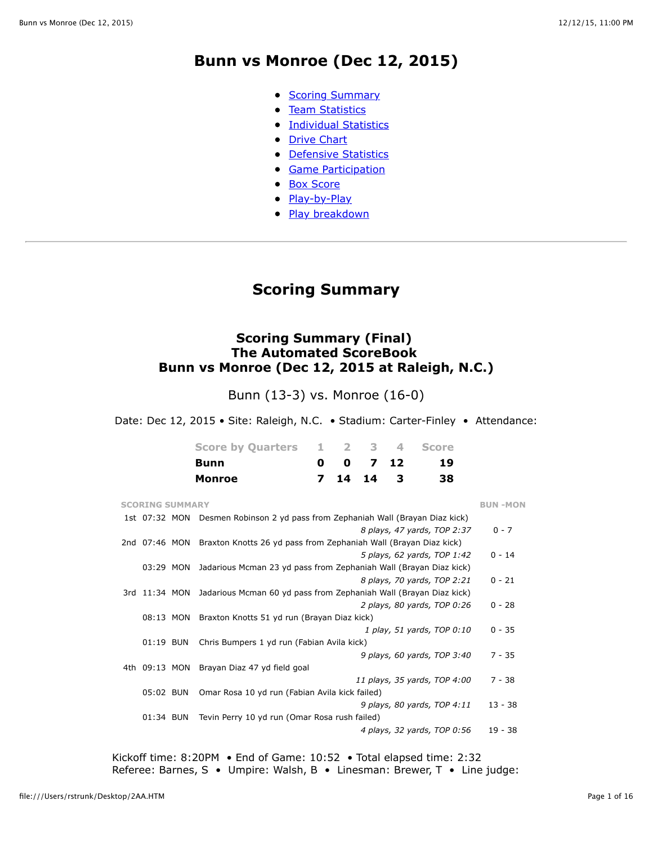## **Bunn vs Monroe (Dec 12, 2015)**

- [Scoring Summary](file:///Users/rstrunk/Desktop/2AA.HTM#GAME.SUM)
- **[Team Statistics](file:///Users/rstrunk/Desktop/2AA.HTM#GAME.TEM)**
- **[Individual Statistics](file:///Users/rstrunk/Desktop/2AA.HTM#GAME.IND)**
- [Drive Chart](file:///Users/rstrunk/Desktop/2AA.HTM#GAME.DRV)
- **[Defensive Statistics](file:///Users/rstrunk/Desktop/2AA.HTM#GAME.DEF)**
- **[Game Participation](file:///Users/rstrunk/Desktop/2AA.HTM#GAME.PRE)**
- [Box Score](file:///Users/rstrunk/Desktop/2AA.HTM#GAME.NEW)
- [Play-by-Play](file:///Users/rstrunk/Desktop/2AA.HTM#GAME.PLY)
- [Play breakdown](file:///Users/rstrunk/Desktop/2AA.HTM#GAME.SCO)

## **Scoring Summary**

### **Scoring Summary (Final) The Automated ScoreBook Bunn vs Monroe (Dec 12, 2015 at Raleigh, N.C.)**

Bunn (13-3) vs. Monroe (16-0)

Date: Dec 12, 2015 • Site: Raleigh, N.C. • Stadium: Carter-Finley • Attendance:

| Score by Quarters 1 2 3 4 Score |                     |  |     |
|---------------------------------|---------------------|--|-----|
| Bunn                            | $0 \t 0 \t 7 \t 12$ |  | 19  |
| Monroe                          | 7 14 14 3           |  | 38. |

| <b>SCORING SUMMARY</b> |                                                                                 | <b>BUN-MON</b> |
|------------------------|---------------------------------------------------------------------------------|----------------|
|                        | 1st 07:32 MON Desmen Robinson 2 yd pass from Zephaniah Wall (Brayan Diaz kick)  |                |
|                        | 8 plays, 47 yards, TOP 2:37                                                     | $0 - 7$        |
| 2nd 07:46 MON          | Braxton Knotts 26 yd pass from Zephaniah Wall (Brayan Diaz kick)                |                |
|                        | 5 plays, 62 yards, TOP 1:42                                                     | $0 - 14$       |
| 03:29 MON              | Jadarious Mcman 23 yd pass from Zephaniah Wall (Brayan Diaz kick)               |                |
|                        | 8 plays, 70 yards, TOP 2:21                                                     | $0 - 21$       |
|                        | 3rd 11:34 MON Jadarious Mcman 60 yd pass from Zephaniah Wall (Brayan Diaz kick) |                |
|                        | 2 plays, 80 yards, TOP 0:26                                                     | $0 - 28$       |
| 08:13 MON              | Braxton Knotts 51 yd run (Brayan Diaz kick)                                     |                |
|                        | 1 play, 51 yards, TOP 0:10                                                      | $0 - 35$       |
| 01:19 BUN              | Chris Bumpers 1 yd run (Fabian Avila kick)                                      |                |
|                        | 9 plays, 60 yards, TOP $3:40$                                                   | $7 - 35$       |
|                        | 4th 09:13 MON Brayan Diaz 47 yd field goal                                      |                |
|                        | 11 plays, 35 yards, TOP 4:00                                                    | $7 - 38$       |
| 05:02 BUN              | Omar Rosa 10 yd run (Fabian Avila kick failed)                                  |                |
|                        | 9 plays, 80 yards, TOP $4:11$                                                   | $13 - 38$      |
| 01:34 BUN              | Tevin Perry 10 yd run (Omar Rosa rush failed)                                   |                |
|                        | 4 plays, 32 yards, TOP 0:56                                                     | $19 - 38$      |

Kickoff time: 8:20PM • End of Game: 10:52 • Total elapsed time: 2:32 Referee: Barnes, S • Umpire: Walsh, B • Linesman: Brewer, T • Line judge: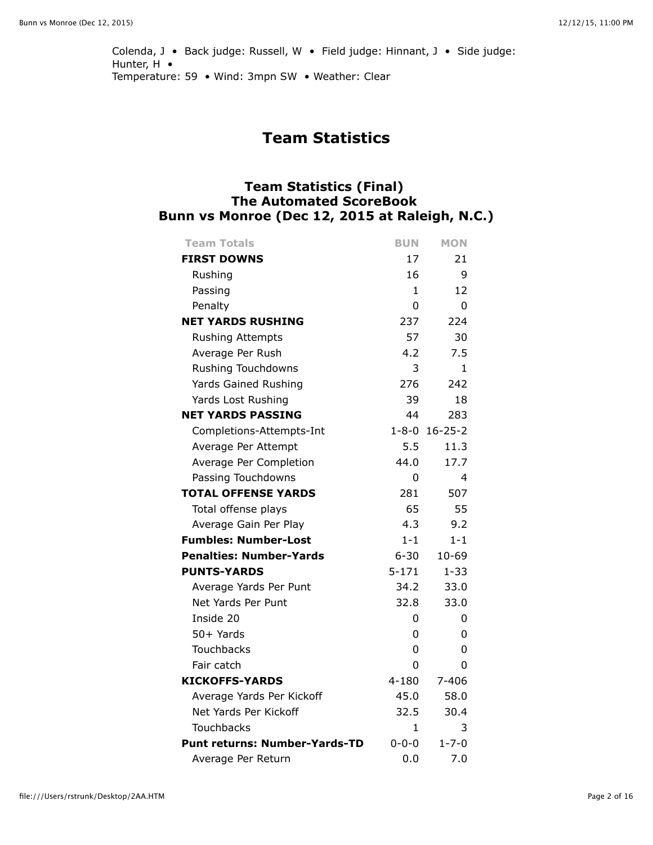Colenda, J • Back judge: Russell, W • Field judge: Hinnant, J • Side judge: Hunter, H • Temperature: 59 • Wind: 3mpn SW • Weather: Clear

## **Team Statistics**

## **Team Statistics (Final) The Automated ScoreBook Bunn vs Monroe (Dec 12, 2015 at Raleigh, N.C.)**

| <b>Team Totals</b>                   | <b>BUN</b>  | <b>MON</b>    |
|--------------------------------------|-------------|---------------|
| <b>FIRST DOWNS</b>                   | 17          | 21            |
| Rushing                              | 16          | 9             |
| Passing                              | 1           | 12            |
| Penalty                              | 0           | 0             |
| <b>NET YARDS RUSHING</b>             | 237         | 224           |
| <b>Rushing Attempts</b>              | 57          | 30            |
| Average Per Rush                     | 4.2         | 7.5           |
| Rushing Touchdowns                   | 3           | 1             |
| Yards Gained Rushing                 | 276         | 242           |
| Yards Lost Rushing                   | 39          | 18            |
| <b>NET YARDS PASSING</b>             | 44          | 283           |
| Completions-Attempts-Int             | $1 - 8 - 0$ | $16 - 25 - 2$ |
| Average Per Attempt                  | 5.5         | 11.3          |
| Average Per Completion               | 44.0        | 17.7          |
| Passing Touchdowns                   | 0           | 4             |
| <b>TOTAL OFFENSE YARDS</b>           | 281         | 507           |
| Total offense plays                  | 65          | 55            |
| Average Gain Per Play                | 4.3         | 9.2           |
| <b>Fumbles: Number-Lost</b>          | $1 - 1$     | $1 - 1$       |
| <b>Penalties: Number-Yards</b>       | $6 - 30$    | $10 - 69$     |
| <b>PUNTS-YARDS</b>                   | $5 - 171$   | $1 - 33$      |
| Average Yards Per Punt               | 34.2        | 33.0          |
| Net Yards Per Punt                   | 32.8        | 33.0          |
| Inside 20                            | 0           | 0             |
| $50+Yards$                           | 0           | 0             |
| <b>Touchbacks</b>                    | 0           | 0             |
| Fair catch                           | 0           | 0             |
| <b>KICKOFFS-YARDS</b>                | $4 - 180$   | $7 - 406$     |
| Average Yards Per Kickoff            | 45.0        | 58.0          |
| Net Yards Per Kickoff                | 32.5        | 30.4          |
| Touchbacks                           | 1           | 3             |
| <b>Punt returns: Number-Yards-TD</b> | $0 - 0 - 0$ | $1 - 7 - 0$   |
| Average Per Return                   | 0.0         | 7.0           |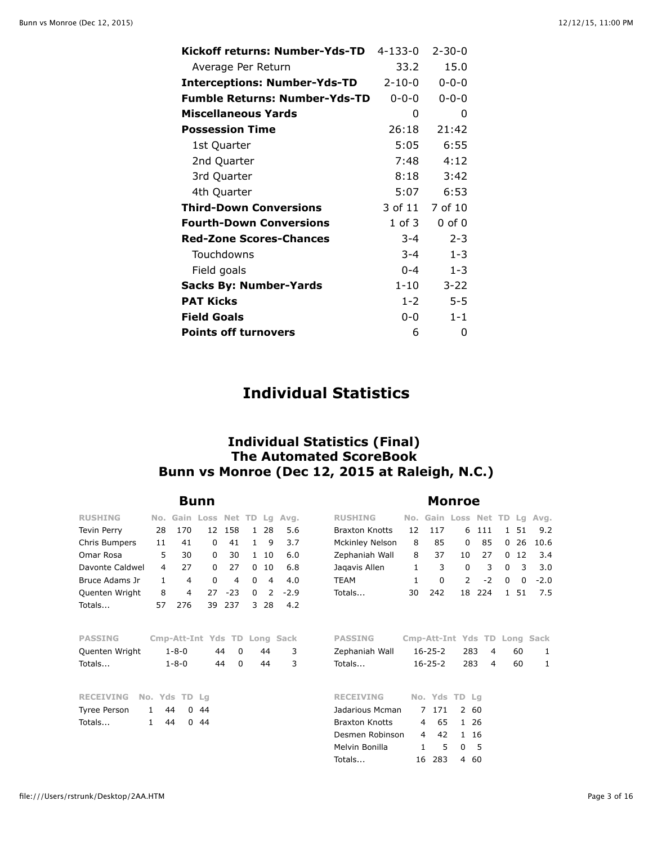| Kickoff returns: Number-Yds-TD       | $4 - 133 - 0$ | $2 - 30 - 0$ |
|--------------------------------------|---------------|--------------|
| Average Per Return                   | 33.2          | 15.0         |
| <b>Interceptions: Number-Yds-TD</b>  | $2 - 10 - 0$  | $0 - 0 - 0$  |
| <b>Fumble Returns: Number-Yds-TD</b> | $0 - 0 - 0$   | $0 - 0 - 0$  |
| <b>Miscellaneous Yards</b>           | 0             | 0            |
| <b>Possession Time</b>               | 26:18         | 21:42        |
| 1st Quarter                          | 5:05          | 6:55         |
| 2nd Quarter                          | 7:48          | 4:12         |
| 3rd Quarter                          | 8:18          | 3:42         |
| 4th Quarter                          | 5:07          | 6:53         |
| <b>Third-Down Conversions</b>        | 3 of 11       | 7 of 10      |
| <b>Fourth-Down Conversions</b>       | $1$ of $3$    | $0$ of $0$   |
| <b>Red-Zone Scores-Chances</b>       | $3 - 4$       | $2 - 3$      |
| Touchdowns                           | $3 - 4$       | $1 - 3$      |
| Field goals                          | $0 - 4$       | $1 - 3$      |
| <b>Sacks By: Number-Yards</b>        | $1 - 10$      | $3 - 22$     |
| <b>PAT Kicks</b>                     | $1 - 2$       | 5-5          |
| <b>Field Goals</b>                   | ი-ი           | $1 - 1$      |
| <b>Points off turnovers</b>          | 6             | 0            |

## **Individual Statistics**

## **Individual Statistics (Final) The Automated ScoreBook Bunn vs Monroe (Dec 12, 2015 at Raleigh, N.C.)**

### **Bunn Monroe**

| <b>RUSHING</b>     | No.          | Gain           | Loss Net TD                  |                |              | La             | Avg.   | <b>RUSHING</b>        | No. | Gain Loss     |                |      | Net TD Lg |      | Avg.                         |
|--------------------|--------------|----------------|------------------------------|----------------|--------------|----------------|--------|-----------------------|-----|---------------|----------------|------|-----------|------|------------------------------|
| <b>Tevin Perry</b> | 28           | 170            | 12                           | 158            | $\mathbf{1}$ | 28             | 5.6    | <b>Braxton Knotts</b> | 12  | 117           | 6              | 111  | 1         | 51   | 9.2                          |
| Chris Bumpers      | 11           | 41             | 0                            | 41             | 1            | 9              | 3.7    | Mckinley Nelson       | 8   | 85            | 0              | 85   | 0         | 26   | 10.6                         |
| Omar Rosa          | 5            | 30             | 0                            | 30             |              | 1 10           | 6.0    | Zephaniah Wall        | 8   | 37            | 10             | 27   | $\Omega$  | 12   | 3.4                          |
| Davonte Caldwel    | 4            | 27             | 0                            | 27             | $\Omega$     | 10             | 6.8    | Jagavis Allen         | 1   | 3             | 0              | 3    | $\Omega$  | 3    | 3.0                          |
| Bruce Adams Jr     | $\mathbf{1}$ | $\overline{4}$ | 0                            | 4              | $\Omega$     | $\overline{4}$ | 4.0    | <b>TEAM</b>           | 1   | 0             | $\overline{2}$ | $-2$ | 0         | 0    | $-2.0$                       |
| Quenten Wright     | 8            | 4              | 27                           | $-23$          | $\Omega$     | 2              | $-2.9$ | Totals                | 30  | 242           | 18             | 224  |           | 1 51 | 7.5                          |
| Totals             | 57           | 276            | 39                           | 237            | 3            | 28             | 4.2    |                       |     |               |                |      |           |      |                              |
|                    |              |                |                              |                |              |                |        |                       |     |               |                |      |           |      |                              |
| <b>PASSING</b>     |              |                | Cmp-Att-Int Yds TD Long Sack |                |              |                |        | <b>PASSING</b>        |     |               |                |      |           |      | Cmp-Att-Int Yds TD Long Sack |
| Quenten Wright     |              | $1 - 8 - 0$    |                              | 44<br>$\Omega$ |              | 44             | 3      | Zephaniah Wall        |     | $16 - 25 - 2$ |                | 283  | 4         | 60   | 1                            |
| Totals             |              | $1 - 8 - 0$    |                              | $\Omega$<br>44 |              | 44             | 3      | Totals                |     | $16 - 25 - 2$ |                | 283  | 4         | 60   | 1                            |
|                    |              |                |                              |                |              |                |        |                       |     |               |                |      |           |      |                              |
| <b>RECEIVING</b>   |              | No. Yds TD     | -La                          |                |              |                |        | <b>RECEIVING</b>      |     | No. Yds TD Lg |                |      |           |      |                              |
| Tyree Person       | 1            | 44<br>0        | 44                           |                |              |                |        | Jadarious Mcman       |     | 7 171         |                | 2 60 |           |      |                              |
| Totals             | $\mathbf{1}$ | 44<br>$\Omega$ | 44                           |                |              |                |        | <b>Braxton Knotts</b> | 4   | 65            |                | 1 26 |           |      |                              |
|                    |              |                |                              |                |              |                |        | Desmen Robinson       | 4   | 42            |                | 1 16 |           |      |                              |
|                    |              |                |                              |                |              |                |        | Melvin Bonilla        | 1   | 5             | $\Omega$       | 5    |           |      |                              |
|                    |              |                |                              |                |              |                |        | Totals                | 16  | -283          |                | 4 60 |           |      |                              |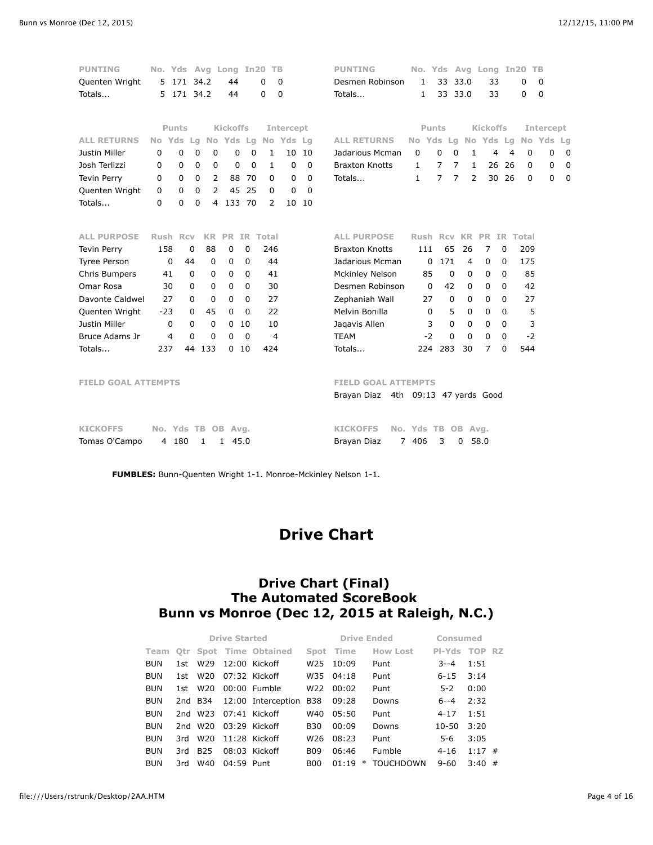| <b>PUNTING</b><br>Quenten Wright<br>Totals | No. Yds Avg Long<br>5<br>5. | 171 34.2<br>171 34.2       |                           | 44<br>44             | In20        | TB<br>0<br>0   | 0<br>$\mathbf 0$    |             | <b>PUNTING</b><br>Desmen Robinson<br>Totals                       | 1<br>1              | 33             | 33 33.0        | 33.0           | No. Yds Avg Long In20<br>33<br>33 |    | 0<br>0   | TB<br>$\mathbf 0$<br>$\mathbf 0$ |             |
|--------------------------------------------|-----------------------------|----------------------------|---------------------------|----------------------|-------------|----------------|---------------------|-------------|-------------------------------------------------------------------|---------------------|----------------|----------------|----------------|-----------------------------------|----|----------|----------------------------------|-------------|
|                                            |                             | <b>Punts</b>               |                           | <b>Kickoffs</b>      |             |                | Intercept           |             |                                                                   |                     | Punts          |                |                | <b>Kickoffs</b>                   |    |          | Intercept                        |             |
| <b>ALL RETURNS</b>                         | No Yds                      | Lq                         |                           |                      |             |                | No Yds Lg No Yds Lg |             | <b>ALL RETURNS</b>                                                | No Yds Lg No Yds Lg |                |                |                |                                   |    |          | No Yds Lg                        |             |
| Justin Miller                              | 0                           | $\mathbf 0$<br>$\mathbf 0$ | 0                         | $\mathbf 0$          | $\mathbf 0$ | 1              | 10                  | 10          | Jadarious Mcman                                                   | 0                   | $\Omega$       | $\Omega$       | 1              | 4                                 | 4  | 0        | 0                                | 0           |
| Josh Terlizzi                              | 0                           | 0                          | 0<br>0                    | 0                    | 0           | 1              | $\mathbf 0$         | $\mathbf 0$ | <b>Braxton Knotts</b>                                             | 1                   | 7              | 7              | 1              | 26                                | 26 | 0        | 0                                | 0           |
| <b>Tevin Perry</b>                         | 0                           | $\mathbf 0$                | $\mathbf 0$<br>2          | 88                   | 70          | 0              | $\mathbf 0$         | $\mathbf 0$ | Totals                                                            | $\mathbf{1}$        | $\overline{7}$ | $\overline{7}$ | $\overline{2}$ | 30                                | 26 | 0        | $\mathbf 0$                      | $\mathbf 0$ |
| Quenten Wright                             | $\mathbf 0$                 | $\mathbf 0$                | $\mathcal{P}$<br>$\Omega$ | 45                   | 25          | 0              | $\Omega$            | $\Omega$    |                                                                   |                     |                |                |                |                                   |    |          |                                  |             |
| Totals                                     | $\Omega$                    | $\Omega$<br>$\Omega$       | 4                         | 133 70               |             | $\overline{2}$ |                     | 10 10       |                                                                   |                     |                |                |                |                                   |    |          |                                  |             |
|                                            |                             |                            |                           |                      |             |                |                     |             |                                                                   |                     |                |                |                |                                   |    |          |                                  |             |
| <b>ALL PURPOSE</b>                         | Rush Rcv                    |                            | <b>KR</b>                 | <b>PR</b>            |             | IR Total       |                     |             | <b>ALL PURPOSE</b>                                                | Rush Rcv            |                |                | KR.            | PR.                               |    | IR Total |                                  |             |
| <b>Tevin Perry</b>                         | 158                         | 0                          | 88                        | 0                    | 0           | 246            |                     |             | <b>Braxton Knotts</b>                                             | 111                 |                | 65             | 26             | 7                                 | 0  | 209      |                                  |             |
| <b>Tyree Person</b>                        | 0                           | 44                         | $\mathbf{0}$              | $\mathbf 0$          | 0           | 44             |                     |             | Jadarious Mcman                                                   |                     | 171<br>0       |                | 4              | 0                                 | 0  | 175      |                                  |             |
| Chris Bumpers                              | 41                          | $\Omega$                   | 0                         | $\Omega$             | 0           | 41             |                     |             | <b>Mckinley Nelson</b>                                            | 85                  |                | $\mathbf 0$    | $\Omega$       | 0                                 | 0  | 85       |                                  |             |
| Omar Rosa                                  | 30                          | 0                          | 0                         | $\Omega$             | 0           | 30             |                     |             | Desmen Robinson                                                   |                     | $\Omega$       | 42             | 0              | 0                                 | 0  | 42       |                                  |             |
| Davonte Caldwel                            | 27                          | 0                          | 0                         | 0                    | 0           | 27             |                     |             | Zephaniah Wall                                                    | 27                  |                | 0              | 0              | 0                                 | 0  | 27       |                                  |             |
| Quenten Wright                             | $-23$                       | 0                          | 45                        | $\mathbf 0$          | 0           | 22             |                     |             | Melvin Bonilla                                                    |                     | 0              | 5              | $\mathbf 0$    | 0                                 | 0  | 5        |                                  |             |
| Justin Miller                              | 0                           | 0                          | 0                         | $\mathbf 0$          | 10          | 10             |                     |             | Jagavis Allen                                                     |                     | 3              | $\mathbf 0$    | 0              | 0                                 | 0  | 3        |                                  |             |
| Bruce Adams Jr                             | 4                           | $\Omega$                   | 0                         | $\Omega$             | $\Omega$    | 4              |                     |             | <b>TEAM</b>                                                       | $-2$                |                | $\Omega$       | $\Omega$       | $\Omega$                          | 0  | $-2$     |                                  |             |
| Totals                                     | 237                         | 44                         | 133                       | 0                    | 10          | 424            |                     |             | Totals                                                            | 224                 | 283            |                | 30             | 7                                 | 0  | 544      |                                  |             |
| <b>FIELD GOAL ATTEMPTS</b>                 |                             |                            |                           |                      |             |                |                     |             | <b>FIELD GOAL ATTEMPTS</b><br>Brayan Diaz 4th 09:13 47 yards Good |                     |                |                |                |                                   |    |          |                                  |             |
| <b>KICKOFFS</b>                            | No. Yds TB OB Avg.          |                            |                           |                      |             |                |                     |             | <b>KICKOFFS</b>                                                   | No. Yds TB          |                |                | OB Avg.        |                                   |    |          |                                  |             |
| Tomas O'Campo                              | 4                           | 180                        | 1                         | 45.0<br>$\mathbf{1}$ |             |                |                     |             | Brayan Diaz<br>$7^{\circ}$                                        | 406                 | 3              | 0              |                | 58.0                              |    |          |                                  |             |

**FUMBLES:** Bunn-Quenten Wright 1-1. Monroe-Mckinley Nelson 1-1.

# **Drive Chart**

## **Drive Chart (Final) The Automated ScoreBook Bunn vs Monroe (Dec 12, 2015 at Raleigh, N.C.)**

|            |     |                 | <b>Drive Started</b> |                               |                 | <b>Drive Ended</b> |                  | Consumed      |          |   |
|------------|-----|-----------------|----------------------|-------------------------------|-----------------|--------------------|------------------|---------------|----------|---|
| Team       |     |                 |                      | <b>Otr Spot Time Obtained</b> | Spot            | Time               | <b>How Lost</b>  | PI-Yds TOP RZ |          |   |
| <b>BUN</b> | 1st | W <sub>29</sub> |                      | $12:00$ Kickoff               | W <sub>25</sub> | 10:09              | Punt             | $3 - -4$      | 1:51     |   |
| <b>BUN</b> | 1st | W20             |                      | 07:32 Kickoff                 |                 | W35 04:18          | Punt             | $6 - 15$      | 3:14     |   |
| <b>BUN</b> | 1st | W <sub>20</sub> |                      | $00:00$ Fumble                | W22             | 00:02              | Punt             | $5 - 2$       | 0:00     |   |
| <b>BUN</b> |     | 2nd B34         |                      | 12:00 Interception B38        |                 | 09:28              | Downs            | 6--4          | 2:32     |   |
| <b>BUN</b> |     | 2nd W23         |                      | $07:41$ Kickoff               | W40             | 05:50              | Punt             | $4 - 17$      | 1:51     |   |
| <b>BUN</b> | 2nd | W20             |                      | 03:29 Kickoff                 | <b>B30</b>      | 00:09              | Downs            | 10-50         | 3:20     |   |
| <b>BUN</b> | 3rd | W20             |                      | 11:28 Kickoff                 | W26             | 08:23              | Punt             | 5-6           | 3:05     |   |
| <b>BUN</b> | 3rd | <b>B25</b>      |                      | 08:03 Kickoff                 | <b>B09</b>      | 06:46              | Fumble           | $4 - 16$      | $1:17$ # |   |
| <b>BUN</b> | 3rd | W40             | 04:59 Punt           |                               | <b>B00</b>      | 01:19<br>$\ast$    | <b>TOUCHDOWN</b> | $9 - 60$      | 3:40     | # |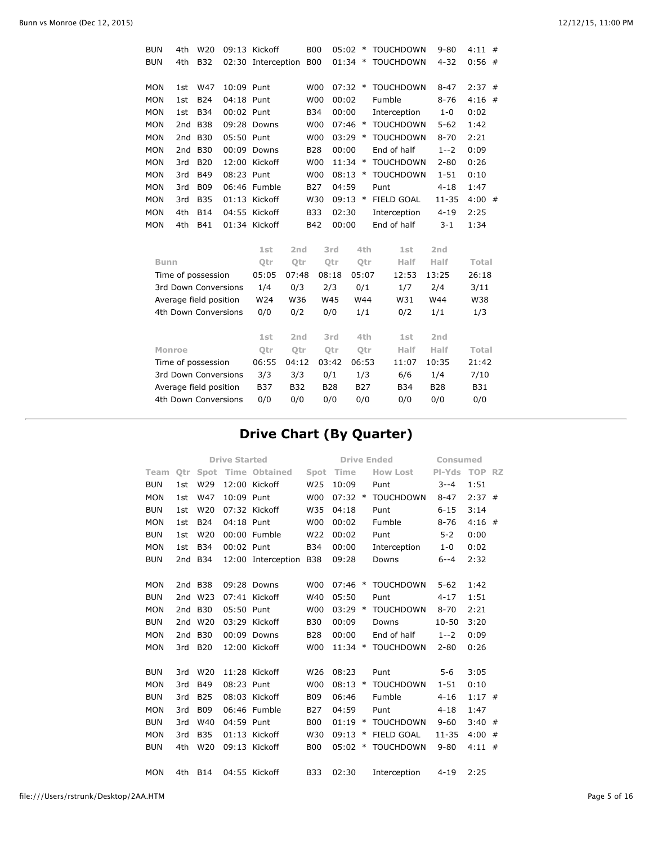| <b>BUN</b>  | 4th           | W <sub>20</sub>        |            | 09:13 Kickoff      |                 | <b>B00</b> | 05:02      |            | $\ast$     | <b>TOUCHDOWN</b>  | $9 - 80$        | 4:11       | # |
|-------------|---------------|------------------------|------------|--------------------|-----------------|------------|------------|------------|------------|-------------------|-----------------|------------|---|
| <b>BUN</b>  | 4th           | <b>B32</b>             |            | 02:30 Interception |                 | <b>B00</b> | 01:34      |            | $\ast$     | <b>TOUCHDOWN</b>  | $4 - 32$        | 0:56       | # |
| <b>MON</b>  | 1st           | W47                    | 10:09 Punt |                    |                 | <b>W00</b> | $07:32$ *  |            |            | <b>TOUCHDOWN</b>  | $8 - 47$        | 2:37       | # |
| <b>MON</b>  | 1st           | <b>B24</b>             | 04:18 Punt |                    |                 | <b>W00</b> | 00:02      |            |            | Fumble            | $8 - 76$        | 4:16       | # |
| <b>MON</b>  | 1st           | <b>B34</b>             | 00:02 Punt |                    |                 | <b>B34</b> | 00:00      |            |            | Interception      | $1 - 0$         | 0:02       |   |
| <b>MON</b>  | 2nd           | <b>B38</b>             |            | 09:28 Downs        |                 | <b>W00</b> | $07:46$ *  |            |            | <b>TOUCHDOWN</b>  | $5 - 62$        | 1:42       |   |
| <b>MON</b>  | 2nd           | <b>B30</b>             | 05:50 Punt |                    |                 | <b>W00</b> | 03:29      |            | $\ast$     | <b>TOUCHDOWN</b>  | $8 - 70$        | 2:21       |   |
| <b>MON</b>  | 2nd           | <b>B30</b>             |            | 00:09 Downs        |                 | <b>B28</b> | 00:00      |            |            | End of half       | $1 - 2$         | 0:09       |   |
| MON         | 3rd           | <b>B20</b>             |            | 12:00 Kickoff      |                 | <b>W00</b> | $11:34$ *  |            |            | <b>TOUCHDOWN</b>  | $2 - 80$        | 0:26       |   |
| MON         | 3rd           | <b>B49</b>             | 08:23 Punt |                    |                 | <b>W00</b> | 08:13      | $\ast$     |            | <b>TOUCHDOWN</b>  | $1 - 51$        | 0:10       |   |
| <b>MON</b>  | 3rd           | <b>B09</b>             |            | 06:46 Fumble       |                 | <b>B27</b> | 04:59      |            |            | Punt              | $4 - 18$        | 1:47       |   |
| <b>MON</b>  | 3rd           | <b>B35</b>             |            | 01:13 Kickoff      |                 | W30        | $09:13$ *  |            |            | <b>FIELD GOAL</b> | $11 - 35$       | 4:00       | # |
| <b>MON</b>  | 4th           | <b>B14</b>             |            | 04:55 Kickoff      |                 | <b>B33</b> | 02:30      |            |            | Interception      | $4 - 19$        | 2:25       |   |
| <b>MON</b>  | 4th           | <b>B41</b>             |            | 01:34 Kickoff      |                 | <b>B42</b> | 00:00      |            |            | End of half       | $3 - 1$         | 1:34       |   |
|             |               |                        |            | 1st                | 2nd             |            | 3rd        |            | 4th        | 1st               | 2 <sub>nd</sub> |            |   |
| <b>Bunn</b> |               |                        |            | Otr                | Otr             |            | Otr        |            | <b>Qtr</b> | Half              | Half            | Total      |   |
|             |               | Time of possession     |            | 05:05              | 07:48           |            | 08:18      | 05:07      |            | 12:53             | 13:25           | 26:18      |   |
|             |               | 3rd Down Conversions   |            | 1/4                | 0/3             |            | 2/3        | 0/1        |            | 1/7               | 2/4             | 3/11       |   |
|             |               | Average field position |            | W24                | W36             |            | W45        | W44        |            | W31               | W44             | W38        |   |
|             |               | 4th Down Conversions   |            | 0/0                | 0/2             |            | 0/0        | 1/1        |            | 0/2               | 1/1             | 1/3        |   |
|             |               |                        |            | 1st                | 2 <sub>nd</sub> |            | 3rd        |            | 4th        | 1st               | 2 <sub>nd</sub> |            |   |
|             | <b>Monroe</b> |                        |            | Qtr                | Qtr             |            | Qtr        |            | Qtr        | Half              | Half            | Total      |   |
|             |               | Time of possession     |            | 06:55              | 04:12           |            | 03:42      | 06:53      |            | 11:07             | 10:35           | 21:42      |   |
|             |               | 3rd Down Conversions   |            | 3/3                | 3/3             |            | 0/1        | 1/3        |            | 6/6               | 1/4             | 7/10       |   |
|             |               | Average field position |            | <b>B37</b>         | <b>B32</b>      |            | <b>B28</b> | <b>B27</b> |            | <b>B34</b>        | <b>B28</b>      | <b>B31</b> |   |
|             |               | 4th Down Conversions   |            | 0/0                | 0/0             |            | 0/0        | 0/0        |            | 0/0               | 0/0             | 0/0        |   |
|             |               |                        |            |                    |                 |            |            |            |            |                   |                 |            |   |

# **Drive Chart (By Quarter)**

|            |         |                 | <b>Drive Started</b> |                      |                 |           |        | <b>Drive Ended</b> | Consumed      |          |  |
|------------|---------|-----------------|----------------------|----------------------|-----------------|-----------|--------|--------------------|---------------|----------|--|
| Team       | Otr     | Spot            |                      | <b>Time Obtained</b> | Spot            | Time      |        | <b>How Lost</b>    | PI-Yds TOP RZ |          |  |
| <b>BUN</b> | 1st     | W29             |                      | 12:00 Kickoff        | W <sub>25</sub> | 10:09     |        | Punt               | $3 - -4$      | 1:51     |  |
| <b>MON</b> | 1st     | W47             | 10:09 Punt           |                      | <b>W00</b>      | $07:32$ * |        | <b>TOUCHDOWN</b>   | $8 - 47$      | $2:37$ # |  |
| <b>BUN</b> | 1st     | W <sub>20</sub> |                      | 07:32 Kickoff        | W35             | 04:18     |        | Punt               | $6 - 15$      | 3:14     |  |
| <b>MON</b> | 1st     | <b>B24</b>      | 04:18 Punt           |                      | <b>W00</b>      | 00:02     |        | Fumble             | $8 - 76$      | $4:16$ # |  |
| <b>BUN</b> | 1st     | W20             |                      | 00:00 Fumble         | W22             | 00:02     |        | Punt               | $5 - 2$       | 0:00     |  |
| <b>MON</b> | 1st     | <b>B34</b>      | 00:02 Punt           |                      | <b>B34</b>      | 00:00     |        | Interception       | $1 - 0$       | 0:02     |  |
| <b>BUN</b> | 2nd     | <b>B34</b>      |                      | 12:00 Interception   | <b>B38</b>      | 09:28     |        | Downs              | $6 - -4$      | 2:32     |  |
|            |         |                 |                      |                      |                 |           |        |                    |               |          |  |
| <b>MON</b> | 2nd B38 |                 |                      | 09:28 Downs          | <b>W00</b>      | 07:46     | $\ast$ | <b>TOUCHDOWN</b>   | $5 - 62$      | 1:42     |  |
| <b>BUN</b> | 2nd     | W <sub>23</sub> |                      | 07:41 Kickoff        | W40             | 05:50     |        | Punt               | $4 - 17$      | 1:51     |  |
| <b>MON</b> | 2nd     | <b>B30</b>      | 05:50 Punt           |                      | <b>W00</b>      | $03:29$ * |        | <b>TOUCHDOWN</b>   | $8 - 70$      | 2:21     |  |
| <b>BUN</b> | 2nd     | W <sub>20</sub> |                      | 03:29 Kickoff        | <b>B30</b>      | 00:09     |        | Downs              | $10 - 50$     | 3:20     |  |
| <b>MON</b> | 2nd     | <b>B30</b>      |                      | 00:09 Downs          | <b>B28</b>      | 00:00     |        | End of half        | $1 - 2$       | 0:09     |  |
| <b>MON</b> | 3rd     | <b>B20</b>      |                      | 12:00 Kickoff        | <b>W00</b>      | $11:34$ * |        | <b>TOUCHDOWN</b>   | $2 - 80$      | 0:26     |  |
|            |         |                 |                      |                      |                 |           |        |                    |               |          |  |
| <b>BUN</b> | 3rd     | W <sub>20</sub> |                      | 11:28 Kickoff        | W26             | 08:23     |        | Punt               | $5 - 6$       | 3:05     |  |
| <b>MON</b> | 3rd     | <b>B49</b>      | 08:23 Punt           |                      | <b>W00</b>      | $08:13$ * |        | <b>TOUCHDOWN</b>   | $1 - 51$      | 0:10     |  |
| <b>BUN</b> | 3rd     | <b>B25</b>      |                      | 08:03 Kickoff        | <b>B09</b>      | 06:46     |        | Fumble             | $4 - 16$      | $1:17$ # |  |
| <b>MON</b> | 3rd     | <b>B09</b>      |                      | 06:46 Fumble         | <b>B27</b>      | 04:59     |        | Punt               | $4 - 18$      | 1:47     |  |
| <b>BUN</b> | 3rd     | W40             | 04:59 Punt           |                      | <b>B00</b>      | 01:19     | $\ast$ | <b>TOUCHDOWN</b>   | $9 - 60$      | $3:40$ # |  |
| <b>MON</b> | 3rd     | <b>B35</b>      |                      | 01:13 Kickoff        | W30             | 09:13     | $\ast$ | <b>FIELD GOAL</b>  | $11 - 35$     | $4:00$ # |  |
| <b>BUN</b> | 4th     | W20             |                      | 09:13 Kickoff        | <b>B00</b>      | 05:02     | $\ast$ | <b>TOUCHDOWN</b>   | $9 - 80$      | $4:11$ # |  |
|            |         |                 |                      |                      |                 |           |        |                    |               |          |  |
| <b>MON</b> | 4th.    | <b>B14</b>      |                      | 04:55 Kickoff        | <b>B33</b>      | 02:30     |        | Interception       | $4 - 19$      | 2:25     |  |
|            |         |                 |                      |                      |                 |           |        |                    |               |          |  |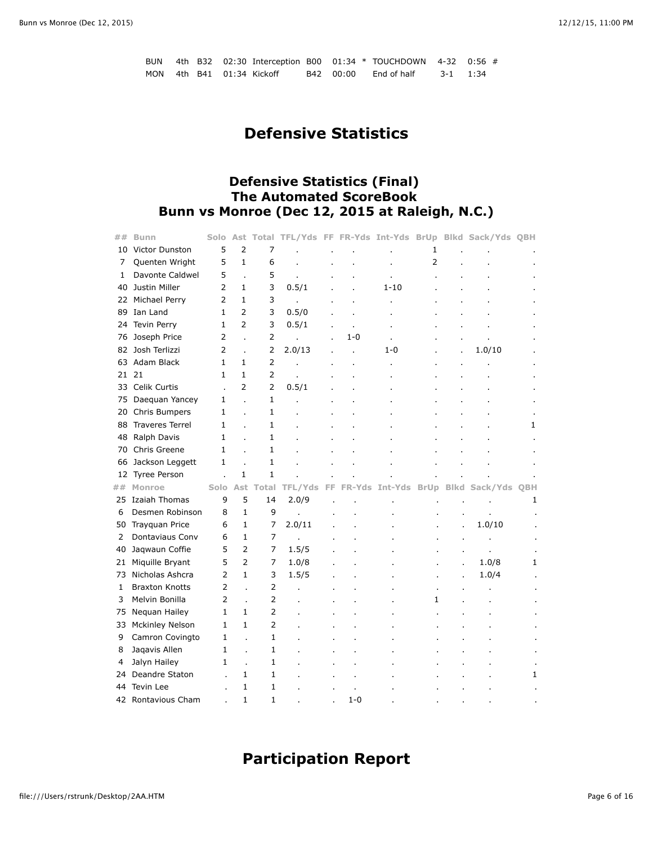|  |  |                           |  | BUN 4th B32 02:30 Interception B00 01:34 $*$ TOUCHDOWN 4-32 0:56 # |          |  |
|--|--|---------------------------|--|--------------------------------------------------------------------|----------|--|
|  |  | MON 4th B41 01:34 Kickoff |  | B42 00:00 End of half                                              | 3-1 1:34 |  |

# **Defensive Statistics**

## **Defensive Statistics (Final) The Automated ScoreBook Bunn vs Monroe (Dec 12, 2015 at Raleigh, N.C.)**

| ## | <b>Bunn</b>            | Solo           | Total TFL/Yds FF FR-Yds Int-Yds BrUp Blkd Sack/Yds QBH<br>Ast |                |                |    |         |          |                |             |              |   |
|----|------------------------|----------------|---------------------------------------------------------------|----------------|----------------|----|---------|----------|----------------|-------------|--------------|---|
| 10 | Victor Dunston         | 5              | $\overline{2}$                                                | 7              |                |    |         |          | 1              |             |              |   |
| 7  | Quenten Wright         | 5              | $\mathbf{1}$                                                  | 6              |                |    |         |          | $\overline{2}$ |             |              |   |
| 1  | Davonte Caldwel        | 5              | $\overline{a}$                                                | 5              |                |    |         |          |                |             |              |   |
| 40 | Justin Miller          | $\overline{2}$ | $\mathbf{1}$                                                  | 3              | 0.5/1          |    |         | $1 - 10$ |                |             |              |   |
| 22 | Michael Perry          | $\overline{2}$ | $\mathbf{1}$                                                  | 3              |                |    |         |          |                |             |              |   |
| 89 | Ian Land               | $\mathbf{1}$   | 2                                                             | 3              | 0.5/0          |    |         |          |                |             |              |   |
| 24 | <b>Tevin Perry</b>     | $\mathbf{1}$   | $\overline{2}$                                                | 3              | 0.5/1          |    |         |          |                |             |              |   |
| 76 | Joseph Price           | 2              | $\overline{a}$                                                | $\overline{2}$ |                |    | $1 - 0$ |          |                |             |              |   |
|    | 82 Josh Terlizzi       | $\overline{2}$ | Ĭ.                                                            | $\overline{2}$ | 2.0/13         |    |         | 1-0      |                | Ĭ.          | 1.0/10       |   |
| 63 | Adam Black             | $\mathbf{1}$   | $\mathbf{1}$                                                  | $\overline{2}$ |                |    |         |          |                |             |              |   |
|    | 21 21                  | $\mathbf{1}$   | $\mathbf{1}$                                                  | $\overline{2}$ |                |    |         |          |                |             |              |   |
| 33 | Celik Curtis           | l,             | $\overline{2}$                                                | $\overline{2}$ | 0.5/1          |    |         |          |                |             |              |   |
| 75 | Daequan Yancey         | $\mathbf{1}$   | ä,                                                            | $\mathbf{1}$   |                |    |         |          |                |             |              |   |
|    | 20 Chris Bumpers       | $\mathbf{1}$   | í.                                                            | $\mathbf{1}$   |                |    |         |          |                |             |              |   |
| 88 | <b>Traveres Terrel</b> | $\mathbf{1}$   | ä,                                                            | 1              |                |    |         |          |                |             |              | 1 |
| 48 | Ralph Davis            | $\mathbf{1}$   | $\overline{a}$                                                | $\mathbf{1}$   |                |    |         |          |                |             |              |   |
| 70 | Chris Greene           | $\mathbf{1}$   | l.                                                            | $\mathbf{1}$   |                |    |         |          |                |             |              |   |
| 66 | Jackson Leggett        | 1              |                                                               | 1              |                |    |         |          |                |             |              |   |
|    |                        |                |                                                               |                |                |    |         |          |                |             |              |   |
| 12 | <b>Tyree Person</b>    |                | $\mathbf{1}$                                                  | $\mathbf{1}$   |                |    |         |          |                |             |              |   |
| ## | <b>Monroe</b>          | Solo           | Ast                                                           | Total          | <b>TFL/Yds</b> | FF | FR-Yds  | Int-Yds  | <b>BrUp</b>    | <b>Blkd</b> | Sack/Yds OBH |   |
| 25 | Izaiah Thomas          | 9              | 5                                                             | 14             | 2.0/9          |    |         |          |                |             |              | 1 |
| 6  | Desmen Robinson        | 8              | $\mathbf{1}$                                                  | 9              |                |    |         |          |                |             |              |   |
| 50 | <b>Trayquan Price</b>  | 6              | $\mathbf{1}$                                                  | 7              | 2.0/11         |    |         |          |                | ×,          | 1.0/10       |   |
| 2  | Dontaviaus Conv        | 6              | $\mathbf{1}$                                                  | 7              |                |    |         |          |                |             |              |   |
| 40 | Jaqwaun Coffie         | 5              | $\overline{2}$                                                | 7              | 1.5/5          |    |         |          |                |             |              |   |
| 21 | Miquille Bryant        | 5              | $\overline{2}$                                                | 7              | 1.0/8          |    |         |          |                |             | 1.0/8        | 1 |
| 73 | Nicholas Ashcra        | $\overline{2}$ | $\mathbf{1}$                                                  | 3              | 1.5/5          |    |         |          |                |             | 1.0/4        |   |
| 1  | <b>Braxton Knotts</b>  | $\overline{2}$ | $\ddot{\phantom{a}}$                                          | $\overline{2}$ |                |    |         |          |                |             |              |   |
| 3  | Melvin Bonilla         | $\overline{2}$ | $\overline{a}$                                                | $\overline{2}$ |                |    |         |          | $\mathbf{1}$   |             |              |   |
| 75 | Nequan Hailey          | $\mathbf{1}$   | $\mathbf{1}$                                                  | $\overline{2}$ |                |    |         |          |                |             |              |   |
| 33 | <b>Mckinley Nelson</b> | $\mathbf{1}$   | $\mathbf{1}$                                                  | 2              |                |    |         |          |                |             |              |   |
| 9  | Camron Covingto        | $\mathbf{1}$   | $\ddot{\phantom{a}}$                                          | $\mathbf{1}$   |                |    |         |          |                |             |              |   |
| 8  | Jagavis Allen          | $\mathbf{1}$   | Ĭ.                                                            | $\mathbf{1}$   |                |    |         |          |                |             |              |   |
| 4  | Jalyn Hailey           | 1              | Ĭ.                                                            | 1              |                |    |         |          |                |             |              |   |
| 24 | Deandre Staton         |                | $\mathbf{1}$                                                  | $\mathbf{1}$   |                |    |         |          |                |             |              | 1 |
| 44 | Tevin Lee              |                | $\mathbf{1}$                                                  | 1              |                |    |         |          |                |             |              |   |

# **Participation Report**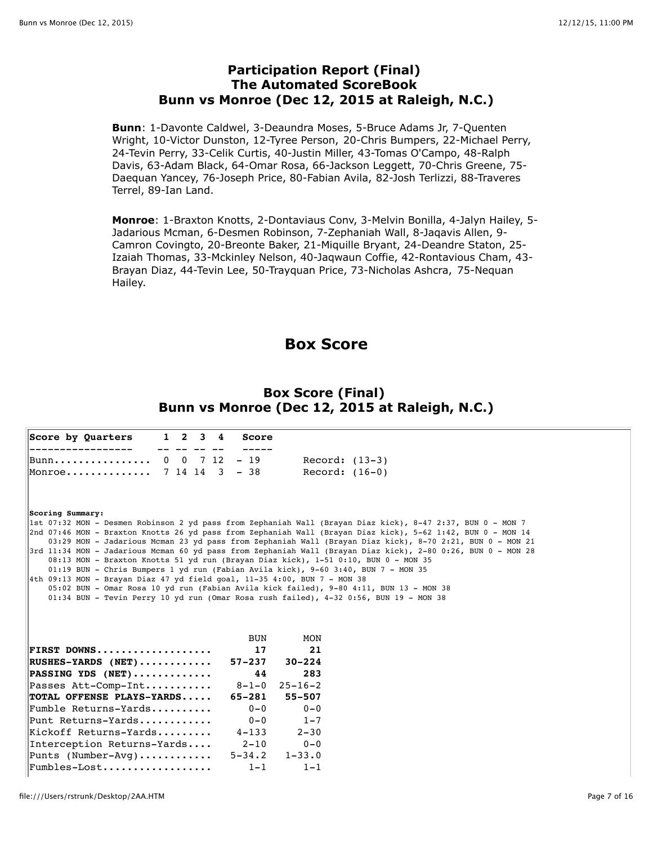### **Participation Report (Final) The Automated ScoreBook Bunn vs Monroe (Dec 12, 2015 at Raleigh, N.C.)**

**Bunn**: 1-Davonte Caldwel, 3-Deaundra Moses, 5-Bruce Adams Jr, 7-Quenten Wright, 10-Victor Dunston, 12-Tyree Person, 20-Chris Bumpers, 22-Michael Perry, 24-Tevin Perry, 33-Celik Curtis, 40-Justin Miller, 43-Tomas O'Campo, 48-Ralph Davis, 63-Adam Black, 64-Omar Rosa, 66-Jackson Leggett, 70-Chris Greene, 75- Daequan Yancey, 76-Joseph Price, 80-Fabian Avila, 82-Josh Terlizzi, 88-Traveres Terrel, 89-Ian Land.

**Monroe**: 1-Braxton Knotts, 2-Dontaviaus Conv, 3-Melvin Bonilla, 4-Jalyn Hailey, 5- Jadarious Mcman, 6-Desmen Robinson, 7-Zephaniah Wall, 8-Jaqavis Allen, 9- Camron Covingto, 20-Breonte Baker, 21-Miquille Bryant, 24-Deandre Staton, 25- Izaiah Thomas, 33-Mckinley Nelson, 40-Jaqwaun Coffie, 42-Rontavious Cham, 43- Brayan Diaz, 44-Tevin Lee, 50-Trayquan Price, 73-Nicholas Ashcra, 75-Nequan Hailey.

## **Box Score**

### **Box Score (Final) Bunn vs Monroe (Dec 12, 2015 at Raleigh, N.C.)**

|                                                                                                                                                                                                                                                                                                                                                                                                                                                              | $1 \quad 2 \quad 3 \quad 4$ | Score                 |                       |                                                                                                                                                                                                                                                                                                                                                                                                                                                       |
|--------------------------------------------------------------------------------------------------------------------------------------------------------------------------------------------------------------------------------------------------------------------------------------------------------------------------------------------------------------------------------------------------------------------------------------------------------------|-----------------------------|-----------------------|-----------------------|-------------------------------------------------------------------------------------------------------------------------------------------------------------------------------------------------------------------------------------------------------------------------------------------------------------------------------------------------------------------------------------------------------------------------------------------------------|
| Bunn                                                                                                                                                                                                                                                                                                                                                                                                                                                         | 0 0 7 12                    | $-19$                 | Record: $(13-3)$      |                                                                                                                                                                                                                                                                                                                                                                                                                                                       |
| Monroe                                                                                                                                                                                                                                                                                                                                                                                                                                                       | 7 14 14 3                   | $-38$                 | Record: $(16-0)$      |                                                                                                                                                                                                                                                                                                                                                                                                                                                       |
| Scoring Summary:<br>08:13 MON - Braxton Knotts 51 yd run (Brayan Diaz kick), 1-51 0:10, BUN 0 - MON 35<br>01:19 BUN - Chris Bumpers 1 yd run (Fabian Avila kick), 9-60 3:40, BUN 7 - MON 35<br>4th 09:13 MON - Brayan Diaz 47 yd field goal, 11-35 4:00, BUN 7 - MON 38<br>05:02 BUN - Omar Rosa 10 yd run (Fabian Avila kick failed), 9-80 4:11, BUN 13 - MON 38<br>$01:34$ BUN - Tevin Perry 10 yd run (Omar Rosa rush failed), 4-32 0:56, BUN 19 - MON 38 |                             |                       |                       | 1st 07:32 MON - Desmen Robinson 2 yd pass from Zephaniah Wall (Brayan Diaz kick), 8-47 2:37, BUN 0 - MON 7<br>2nd 07:46 MON - Braxton Knotts 26 yd pass from Zephaniah Wall (Brayan Diaz kick), 5-62 1:42, BUN 0 - MON 14<br>03:29 MON - Jadarious Mcman 23 yd pass from Zephaniah Wall (Brayan Diaz kick), 8-70 2:21, BUN 0 - MON 21<br>3rd 11:34 MON - Jadarious Mcman 60 yd pass from Zephaniah Wall (Brayan Diaz kick), 2-80 0:26, BUN 0 - MON 28 |
|                                                                                                                                                                                                                                                                                                                                                                                                                                                              |                             | <b>BUN</b>            | MON                   |                                                                                                                                                                                                                                                                                                                                                                                                                                                       |
|                                                                                                                                                                                                                                                                                                                                                                                                                                                              |                             |                       |                       |                                                                                                                                                                                                                                                                                                                                                                                                                                                       |
|                                                                                                                                                                                                                                                                                                                                                                                                                                                              |                             | 17                    | 21                    |                                                                                                                                                                                                                                                                                                                                                                                                                                                       |
|                                                                                                                                                                                                                                                                                                                                                                                                                                                              |                             | $57 - 237$            | $30 - 224$            |                                                                                                                                                                                                                                                                                                                                                                                                                                                       |
|                                                                                                                                                                                                                                                                                                                                                                                                                                                              |                             | 44                    | 283                   |                                                                                                                                                                                                                                                                                                                                                                                                                                                       |
|                                                                                                                                                                                                                                                                                                                                                                                                                                                              |                             | $8 - 1 - 0$           | $25 - 16 - 2$         |                                                                                                                                                                                                                                                                                                                                                                                                                                                       |
|                                                                                                                                                                                                                                                                                                                                                                                                                                                              |                             | $65 - 281$            | $55 - 507$            |                                                                                                                                                                                                                                                                                                                                                                                                                                                       |
|                                                                                                                                                                                                                                                                                                                                                                                                                                                              |                             | $0 - 0$               | $0 - 0$               |                                                                                                                                                                                                                                                                                                                                                                                                                                                       |
|                                                                                                                                                                                                                                                                                                                                                                                                                                                              |                             | $0 - 0$               | $1 - 7$               |                                                                                                                                                                                                                                                                                                                                                                                                                                                       |
|                                                                                                                                                                                                                                                                                                                                                                                                                                                              |                             | $4 - 133$             | $2 - 30$              |                                                                                                                                                                                                                                                                                                                                                                                                                                                       |
| FIRST DOWNS<br>$ RUSHES-YARDS (NET)$<br>$ PASSING YDS (NET) \ldots \ldots \ldots$<br>Passes Att-Comp-Int<br>TOTAL OFFENSE PLAYS-YARDS<br>$ $ Fumble Returns-Yards<br>Punt Returns-Yards<br>Kickoff Returns-Yards<br>Interception Returns-Yards                                                                                                                                                                                                               |                             | $2 - 10$              | $0 - 0$               |                                                                                                                                                                                                                                                                                                                                                                                                                                                       |
| Punts (Number-Avg)<br>Fumbles-Lost                                                                                                                                                                                                                                                                                                                                                                                                                           |                             | $5 - 34.2$<br>$1 - 1$ | $1 - 33.0$<br>$1 - 1$ |                                                                                                                                                                                                                                                                                                                                                                                                                                                       |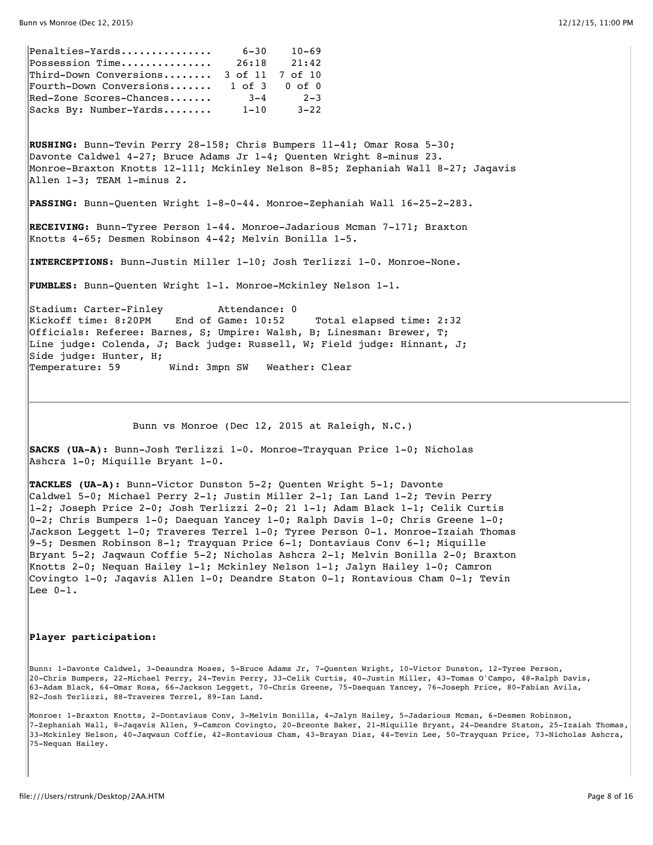| Penalties-Yards                                    | $6 - 30$        | $10 - 69$     |
|----------------------------------------------------|-----------------|---------------|
| $\mathbb{P}$ ossession Time                        | 26:18           | 21:42         |
| $\ $ Third-Down Conversions                        | 3 of 11 7 of 10 |               |
| $\parallel$ Fourth-Down Conversions                |                 | 1 of 3 0 of 0 |
| $\parallel$ Red-Zone Scores-Chances                | $3 - 4$         | $2 - 3$       |
| $\left\  \texttt{Sacks By: Number-Yards} \right\ $ | $1 - 10$        | $3 - 22$      |

**RUSHING:** Bunn-Tevin Perry 28-158; Chris Bumpers 11-41; Omar Rosa 5-30; Davonte Caldwel 4-27; Bruce Adams Jr 1-4; Quenten Wright 8-minus 23. Monroe-Braxton Knotts 12-111; Mckinley Nelson 8-85; Zephaniah Wall 8-27; Jaqavis Allen 1-3; TEAM 1-minus 2.

**PASSING:** Bunn-Quenten Wright 1-8-0-44. Monroe-Zephaniah Wall 16-25-2-283.

**RECEIVING:** Bunn-Tyree Person 1-44. Monroe-Jadarious Mcman 7-171; Braxton Knotts 4-65; Desmen Robinson 4-42; Melvin Bonilla 1-5.

**INTERCEPTIONS:** Bunn-Justin Miller 1-10; Josh Terlizzi 1-0. Monroe-None.

**FUMBLES:** Bunn-Quenten Wright 1-1. Monroe-Mckinley Nelson 1-1.

Stadium: Carter-Finley Attendance: 0 Kickoff time: 8:20PM End of Game: 10:52 Total elapsed time: 2:32 Officials: Referee: Barnes, S; Umpire: Walsh, B; Linesman: Brewer, T; Line judge: Colenda, J; Back judge: Russell, W; Field judge: Hinnant, J; Side judge: Hunter, H; Temperature: 59 Wind: 3mpn SW Weather: Clear

Bunn vs Monroe (Dec 12, 2015 at Raleigh, N.C.)

**SACKS (UA-A):** Bunn-Josh Terlizzi 1-0. Monroe-Trayquan Price 1-0; Nicholas Ashcra 1-0; Miquille Bryant 1-0.

**TACKLES (UA-A):** Bunn-Victor Dunston 5-2; Quenten Wright 5-1; Davonte Caldwel 5-0; Michael Perry 2-1; Justin Miller 2-1; Ian Land 1-2; Tevin Perry 1-2; Joseph Price 2-0; Josh Terlizzi 2-0; 21 1-1; Adam Black 1-1; Celik Curtis 0-2; Chris Bumpers 1-0; Daequan Yancey 1-0; Ralph Davis 1-0; Chris Greene 1-0; Jackson Leggett 1-0; Traveres Terrel 1-0; Tyree Person 0-1. Monroe-Izaiah Thomas 9-5; Desmen Robinson 8-1; Trayquan Price 6-1; Dontaviaus Conv 6-1; Miquille Bryant 5-2; Jaqwaun Coffie 5-2; Nicholas Ashcra 2-1; Melvin Bonilla 2-0; Braxton Knotts 2-0; Nequan Hailey 1-1; Mckinley Nelson 1-1; Jalyn Hailey 1-0; Camron Covingto 1-0; Jaqavis Allen 1-0; Deandre Staton 0-1; Rontavious Cham 0-1; Tevin  $\overline{\text{Lee 0-1.}}$ 

#### **Player participation:**

Bunn: 1-Davonte Caldwel, 3-Deaundra Moses, 5-Bruce Adams Jr, 7-Quenten Wright, 10-Victor Dunston, 12-Tyree Person, 20-Chris Bumpers, 22-Michael Perry, 24-Tevin Perry, 33-Celik Curtis, 40-Justin Miller, 43-Tomas O'Campo, 48-Ralph Davis, 63-Adam Black, 64-Omar Rosa, 66-Jackson Leggett, 70-Chris Greene, 75-Daequan Yancey, 76-Joseph Price, 80-Fabian Avila, 82-Josh Terlizzi, 88-Traveres Terrel, 89-Ian Land.

Monroe: 1-Braxton Knotts, 2-Dontaviaus Conv, 3-Melvin Bonilla, 4-Jalyn Hailey, 5-Jadarious Mcman, 6-Desmen Robinson, 7-Zephaniah Wall, 8-Jaqavis Allen, 9-Camron Covingto, 20-Breonte Baker, 21-Miquille Bryant, 24-Deandre Staton, 25-Izaiah Thomas, 33-Mckinley Nelson, 40-Jaqwaun Coffie, 42-Rontavious Cham, 43-Brayan Diaz, 44-Tevin Lee, 50-Trayquan Price, 73-Nicholas Ashcra, 75-Nequan Hailey.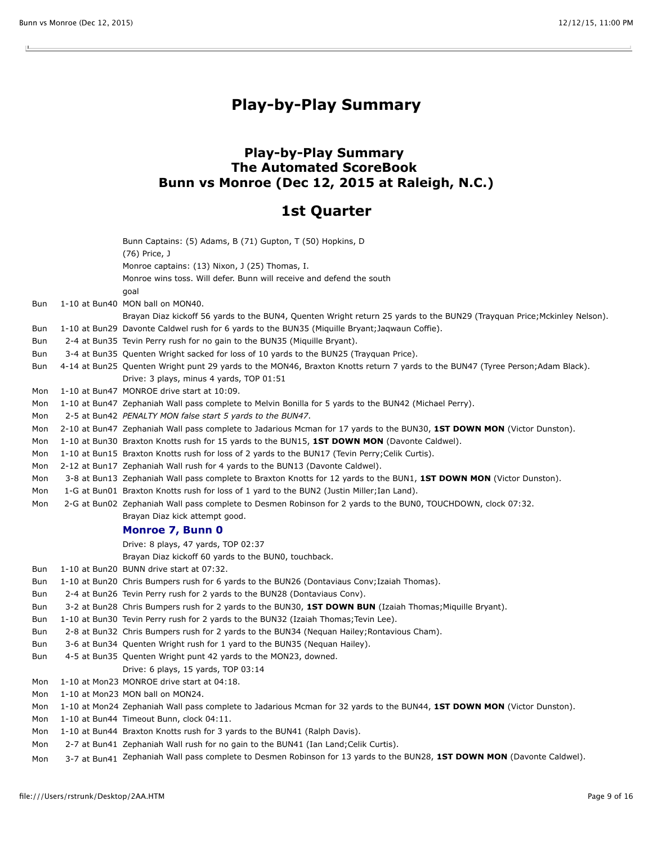$\mathbf{L}$ 

## **Play-by-Play Summary**

### **Play-by-Play Summary The Automated ScoreBook Bunn vs Monroe (Dec 12, 2015 at Raleigh, N.C.)**

## **1st Quarter**

|     | Bunn Captains: (5) Adams, B (71) Gupton, T (50) Hopkins, D                                                                      |
|-----|---------------------------------------------------------------------------------------------------------------------------------|
|     | (76) Price, J                                                                                                                   |
|     | Monroe captains: (13) Nixon, J (25) Thomas, I.                                                                                  |
|     | Monroe wins toss. Will defer. Bunn will receive and defend the south                                                            |
|     | goal                                                                                                                            |
| Bun | 1-10 at Bun40 MON ball on MON40.                                                                                                |
|     | Brayan Diaz kickoff 56 yards to the BUN4, Quenten Wright return 25 yards to the BUN29 (Trayquan Price; Mckinley Nelson).        |
| Bun | 1-10 at Bun29 Davonte Caldwel rush for 6 yards to the BUN35 (Miquille Bryant; Jaqwaun Coffie).                                  |
| Bun | 2-4 at Bun35 Tevin Perry rush for no gain to the BUN35 (Miquille Bryant).                                                       |
| Bun | 3-4 at Bun35 Quenten Wright sacked for loss of 10 yards to the BUN25 (Trayquan Price).                                          |
| Bun | 4-14 at Bun25 Quenten Wright punt 29 yards to the MON46, Braxton Knotts return 7 yards to the BUN47 (Tyree Person; Adam Black). |
|     | Drive: 3 plays, minus 4 yards, TOP 01:51                                                                                        |
| Mon | 1-10 at Bun47 MONROE drive start at 10:09.                                                                                      |
| Mon | 1-10 at Bun47 Zephaniah Wall pass complete to Melvin Bonilla for 5 yards to the BUN42 (Michael Perry).                          |
| Mon | 2-5 at Bun42 PENALTY MON false start 5 yards to the BUN47.                                                                      |
| Mon | 2-10 at Bun47 Zephaniah Wall pass complete to Jadarious Mcman for 17 yards to the BUN30, 1ST DOWN MON (Victor Dunston).         |
| Mon | 1-10 at Bun30 Braxton Knotts rush for 15 yards to the BUN15, 1ST DOWN MON (Davonte Caldwel).                                    |
| Mon | 1-10 at Bun15 Braxton Knotts rush for loss of 2 yards to the BUN17 (Tevin Perry; Celik Curtis).                                 |
| Mon | 2-12 at Bun17 Zephaniah Wall rush for 4 yards to the BUN13 (Davonte Caldwel).                                                   |
| Mon | 3-8 at Bun13 Zephaniah Wall pass complete to Braxton Knotts for 12 yards to the BUN1, 1ST DOWN MON (Victor Dunston).            |
| Mon | 1-G at Bun01 Braxton Knotts rush for loss of 1 yard to the BUN2 (Justin Miller; Ian Land).                                      |
| Mon | 2-G at Bun02 Zephaniah Wall pass complete to Desmen Robinson for 2 yards to the BUN0, TOUCHDOWN, clock 07:32.                   |
|     | Brayan Diaz kick attempt good.                                                                                                  |
|     | Monroe 7, Bunn 0                                                                                                                |
|     | Drive: 8 plays, 47 yards, TOP 02:37                                                                                             |
|     | Brayan Diaz kickoff 60 yards to the BUN0, touchback.                                                                            |
| Bun | 1-10 at Bun20 BUNN drive start at 07:32.                                                                                        |
| Bun | 1-10 at Bun20 Chris Bumpers rush for 6 yards to the BUN26 (Dontaviaus Conv; Izaiah Thomas).                                     |
| Bun | 2-4 at Bun26 Tevin Perry rush for 2 yards to the BUN28 (Dontaviaus Conv).                                                       |
| Bun | 3-2 at Bun28 Chris Bumpers rush for 2 yards to the BUN30, 1ST DOWN BUN (Izaiah Thomas; Miquille Bryant).                        |
| Bun | 1-10 at Bun30 Tevin Perry rush for 2 yards to the BUN32 (Izaiah Thomas; Tevin Lee).                                             |
| Bun | 2-8 at Bun32 Chris Bumpers rush for 2 yards to the BUN34 (Nequan Hailey; Rontavious Cham).                                      |
| Bun | 3-6 at Bun34 Quenten Wright rush for 1 yard to the BUN35 (Nequan Hailey).                                                       |
| Bun | 4-5 at Bun35 Quenten Wright punt 42 yards to the MON23, downed.                                                                 |
|     | Drive: 6 plays, 15 yards, TOP 03:14                                                                                             |
| Mon | 1-10 at Mon23 MONROE drive start at 04:18.                                                                                      |
| Mon | 1-10 at Mon23 MON ball on MON24.                                                                                                |
| Mon | 1-10 at Mon24 Zephaniah Wall pass complete to Jadarious Mcman for 32 yards to the BUN44, 1ST DOWN MON (Victor Dunston).         |
| Mon | 1-10 at Bun44 Timeout Bunn, clock 04:11.                                                                                        |
| Mon | 1-10 at Bun44 Braxton Knotts rush for 3 yards to the BUN41 (Ralph Davis).                                                       |
| Mon |                                                                                                                                 |
|     | 2-7 at Bun41 Zephaniah Wall rush for no gain to the BUN41 (Ian Land; Celik Curtis).                                             |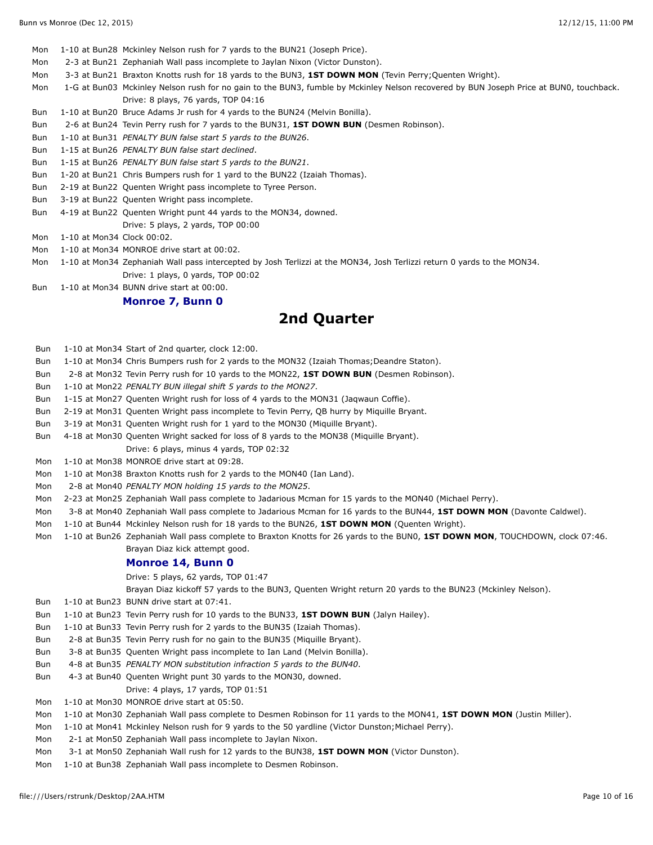Mon 1-10 at Bun28 Mckinley Nelson rush for 7 yards to the BUN21 (Joseph Price).

- Mon 2-3 at Bun21 Zephaniah Wall pass incomplete to Jaylan Nixon (Victor Dunston).
- Mon 3-3 at Bun21 Braxton Knotts rush for 18 yards to the BUN3, **1ST DOWN MON** (Tevin Perry;Quenten Wright).

Mon 1-G at Bun03 Mckinley Nelson rush for no gain to the BUN3, fumble by Mckinley Nelson recovered by BUN Joseph Price at BUN0, touchback. Drive: 8 plays, 76 yards, TOP 04:16

- Bun 1-10 at Bun20 Bruce Adams Jr rush for 4 yards to the BUN24 (Melvin Bonilla).
- Bun 2-6 at Bun24 Tevin Perry rush for 7 yards to the BUN31, **1ST DOWN BUN** (Desmen Robinson).
- Bun 1-10 at Bun31 *PENALTY BUN false start 5 yards to the BUN26*.
- Bun 1-15 at Bun26 *PENALTY BUN false start declined*.
- Bun 1-15 at Bun26 *PENALTY BUN false start 5 yards to the BUN21*.
- Bun 1-20 at Bun21 Chris Bumpers rush for 1 yard to the BUN22 (Izaiah Thomas).
- Bun 2-19 at Bun22 Quenten Wright pass incomplete to Tyree Person.
- Bun 3-19 at Bun22 Quenten Wright pass incomplete.
- Bun 4-19 at Bun22 Quenten Wright punt 44 yards to the MON34, downed.
- Drive: 5 plays, 2 yards, TOP 00:00
- Mon 1-10 at Mon34 Clock 00:02.
- Mon 1-10 at Mon34 MONROE drive start at 00:02.
- Mon 1-10 at Mon34 Zephaniah Wall pass intercepted by Josh Terlizzi at the MON34, Josh Terlizzi return 0 yards to the MON34. Drive: 1 plays, 0 yards, TOP 00:02
- Bun 1-10 at Mon34 BUNN drive start at 00:00.

#### **Monroe 7, Bunn 0**

## **2nd Quarter**

- Bun 1-10 at Mon34 Start of 2nd quarter, clock 12:00.
- Bun 1-10 at Mon34 Chris Bumpers rush for 2 yards to the MON32 (Izaiah Thomas;Deandre Staton).
- Bun 2-8 at Mon32 Tevin Perry rush for 10 yards to the MON22, **1ST DOWN BUN** (Desmen Robinson).
- Bun 1-10 at Mon22 *PENALTY BUN illegal shift 5 yards to the MON27*.
- Bun 1-15 at Mon27 Quenten Wright rush for loss of 4 yards to the MON31 (Jaqwaun Coffie).
- Bun 2-19 at Mon31 Quenten Wright pass incomplete to Tevin Perry, QB hurry by Miquille Bryant.
- Bun 3-19 at Mon31 Quenten Wright rush for 1 yard to the MON30 (Miquille Bryant).
- Bun 4-18 at Mon30 Quenten Wright sacked for loss of 8 yards to the MON38 (Miquille Bryant).
	- Drive: 6 plays, minus 4 yards, TOP 02:32
- Mon 1-10 at Mon38 MONROE drive start at 09:28.
- Mon 1-10 at Mon38 Braxton Knotts rush for 2 yards to the MON40 (Ian Land).
- Mon 2-8 at Mon40 *PENALTY MON holding 15 yards to the MON25*.
- Mon 2-23 at Mon25 Zephaniah Wall pass complete to Jadarious Mcman for 15 yards to the MON40 (Michael Perry).
- Mon 3-8 at Mon40 Zephaniah Wall pass complete to Jadarious Mcman for 16 yards to the BUN44, **1ST DOWN MON** (Davonte Caldwel).
- Mon 1-10 at Bun44 Mckinley Nelson rush for 18 yards to the BUN26, **1ST DOWN MON** (Quenten Wright).
- Mon 1-10 at Bun26 Zephaniah Wall pass complete to Braxton Knotts for 26 yards to the BUN0, **1ST DOWN MON**, TOUCHDOWN, clock 07:46. Brayan Diaz kick attempt good.

#### **Monroe 14, Bunn 0**

- Drive: 5 plays, 62 yards, TOP 01:47
- Brayan Diaz kickoff 57 yards to the BUN3, Quenten Wright return 20 yards to the BUN23 (Mckinley Nelson).
- Bun 1-10 at Bun23 BUNN drive start at 07:41.
- Bun 1-10 at Bun23 Tevin Perry rush for 10 yards to the BUN33, **1ST DOWN BUN** (Jalyn Hailey).
- Bun 1-10 at Bun33 Tevin Perry rush for 2 yards to the BUN35 (Izaiah Thomas).
- Bun 2-8 at Bun35 Tevin Perry rush for no gain to the BUN35 (Miquille Bryant).
- Bun 3-8 at Bun35 Quenten Wright pass incomplete to Ian Land (Melvin Bonilla).
- Bun 4-8 at Bun35 *PENALTY MON substitution infraction 5 yards to the BUN40*.
- Bun 4-3 at Bun40 Quenten Wright punt 30 yards to the MON30, downed.
	- Drive: 4 plays, 17 yards, TOP 01:51
- Mon 1-10 at Mon30 MONROE drive start at 05:50.
- Mon 1-10 at Mon30 Zephaniah Wall pass complete to Desmen Robinson for 11 yards to the MON41, **1ST DOWN MON** (Justin Miller).
- Mon 1-10 at Mon41 Mckinley Nelson rush for 9 yards to the 50 yardline (Victor Dunston; Michael Perry).
- Mon 2-1 at Mon50 Zephaniah Wall pass incomplete to Jaylan Nixon.
- Mon 3-1 at Mon50 Zephaniah Wall rush for 12 yards to the BUN38, **1ST DOWN MON** (Victor Dunston).
- Mon 1-10 at Bun38 Zephaniah Wall pass incomplete to Desmen Robinson.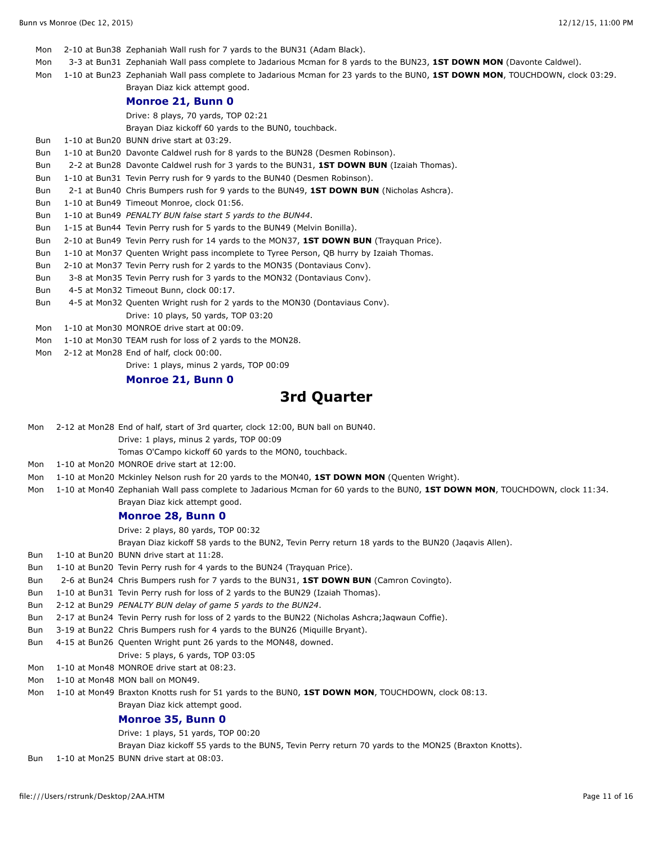Mon 2-10 at Bun38 Zephaniah Wall rush for 7 yards to the BUN31 (Adam Black). Mon 3-3 at Bun31 Zephaniah Wall pass complete to Jadarious Mcman for 8 yards to the BUN23, **1ST DOWN MON** (Davonte Caldwel). Mon 1-10 at Bun23 Zephaniah Wall pass complete to Jadarious Mcman for 23 yards to the BUN0, **1ST DOWN MON**, TOUCHDOWN, clock 03:29. Brayan Diaz kick attempt good. **Monroe 21, Bunn 0** Drive: 8 plays, 70 yards, TOP 02:21 Brayan Diaz kickoff 60 yards to the BUN0, touchback. Bun 1-10 at Bun20 BUNN drive start at 03:29. Bun 1-10 at Bun20 Davonte Caldwel rush for 8 yards to the BUN28 (Desmen Robinson). Bun 2-2 at Bun28 Davonte Caldwel rush for 3 yards to the BUN31, **1ST DOWN BUN** (Izaiah Thomas). Bun 1-10 at Bun31 Tevin Perry rush for 9 yards to the BUN40 (Desmen Robinson). Bun 2-1 at Bun40 Chris Bumpers rush for 9 yards to the BUN49, **1ST DOWN BUN** (Nicholas Ashcra). Bun 1-10 at Bun49 Timeout Monroe, clock 01:56. Bun 1-10 at Bun49 *PENALTY BUN false start 5 yards to the BUN44*. Bun 1-15 at Bun44 Tevin Perry rush for 5 yards to the BUN49 (Melvin Bonilla). Bun 2-10 at Bun49 Tevin Perry rush for 14 yards to the MON37, **1ST DOWN BUN** (Trayquan Price). Bun 1-10 at Mon37 Quenten Wright pass incomplete to Tyree Person, QB hurry by Izaiah Thomas. Bun 2-10 at Mon37 Tevin Perry rush for 2 yards to the MON35 (Dontaviaus Conv). Bun 3-8 at Mon35 Tevin Perry rush for 3 yards to the MON32 (Dontaviaus Conv). Bun 4-5 at Mon32 Timeout Bunn, clock 00:17. Bun 4-5 at Mon32 Quenten Wright rush for 2 yards to the MON30 (Dontaviaus Conv). Drive: 10 plays, 50 yards, TOP 03:20 Mon 1-10 at Mon30 MONROE drive start at 00:09. Mon 1-10 at Mon30 TEAM rush for loss of 2 yards to the MON28. Mon 2-12 at Mon28 End of half, clock 00:00.

Drive: 1 plays, minus 2 yards, TOP 00:09

#### **Monroe 21, Bunn 0**

## **3rd Quarter**

Mon 2-12 at Mon28 End of half, start of 3rd quarter, clock 12:00, BUN ball on BUN40.

Drive: 1 plays, minus 2 yards, TOP 00:09

Tomas O'Campo kickoff 60 yards to the MON0, touchback.

- Mon 1-10 at Mon20 MONROE drive start at 12:00.
- Mon 1-10 at Mon20 Mckinley Nelson rush for 20 yards to the MON40, **1ST DOWN MON** (Quenten Wright).
- Mon 1-10 at Mon40 Zephaniah Wall pass complete to Jadarious Mcman for 60 yards to the BUN0, **1ST DOWN MON**, TOUCHDOWN, clock 11:34. Brayan Diaz kick attempt good.

#### **Monroe 28, Bunn 0**

Drive: 2 plays, 80 yards, TOP 00:32

Brayan Diaz kickoff 58 yards to the BUN2, Tevin Perry return 18 yards to the BUN20 (Jaqavis Allen).

- Bun 1-10 at Bun20 BUNN drive start at 11:28.
- Bun 1-10 at Bun20 Tevin Perry rush for 4 yards to the BUN24 (Trayquan Price).
- Bun 2-6 at Bun24 Chris Bumpers rush for 7 yards to the BUN31, **1ST DOWN BUN** (Camron Covingto).
- Bun 1-10 at Bun31 Tevin Perry rush for loss of 2 yards to the BUN29 (Izaiah Thomas).
- Bun 2-12 at Bun29 *PENALTY BUN delay of game 5 yards to the BUN24*.
- Bun 2-17 at Bun24 Tevin Perry rush for loss of 2 yards to the BUN22 (Nicholas Ashcra;Jaqwaun Coffie).
- Bun 3-19 at Bun22 Chris Bumpers rush for 4 yards to the BUN26 (Miquille Bryant).
- Bun 4-15 at Bun26 Quenten Wright punt 26 yards to the MON48, downed.

Drive: 5 plays, 6 yards, TOP 03:05

Mon 1-10 at Mon48 MONROE drive start at 08:23.

Mon 1-10 at Mon48 MON ball on MON49.

Mon 1-10 at Mon49 Braxton Knotts rush for 51 yards to the BUN0, **1ST DOWN MON**, TOUCHDOWN, clock 08:13.

Brayan Diaz kick attempt good.

#### **Monroe 35, Bunn 0**

Drive: 1 plays, 51 yards, TOP 00:20

Brayan Diaz kickoff 55 yards to the BUN5, Tevin Perry return 70 yards to the MON25 (Braxton Knotts).

Bun 1-10 at Mon25 BUNN drive start at 08:03.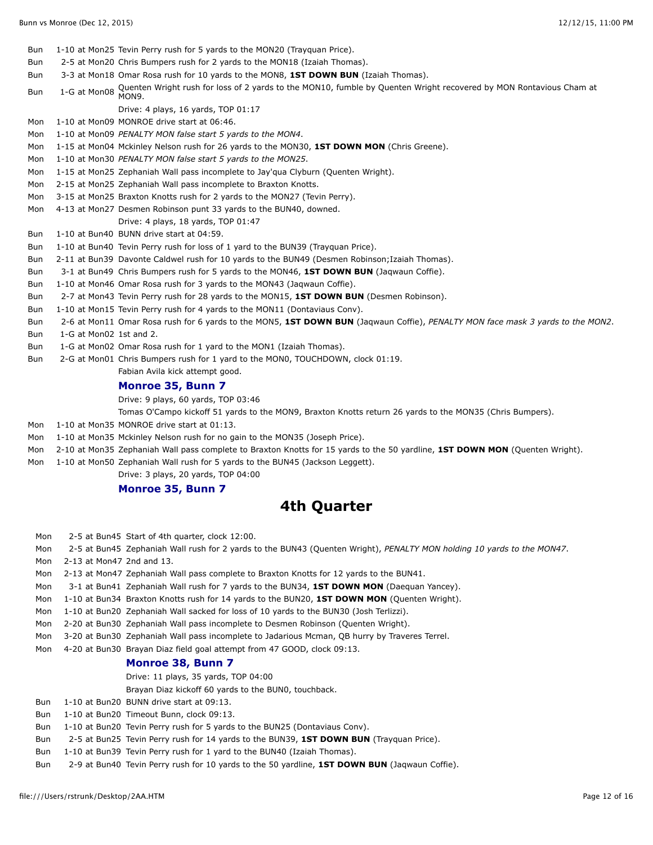- Bun 1-10 at Mon25 Tevin Perry rush for 5 yards to the MON20 (Trayquan Price).
- Bun 2-5 at Mon20 Chris Bumpers rush for 2 yards to the MON18 (Izaiah Thomas).
- Bun 3-3 at Mon18 Omar Rosa rush for 10 yards to the MON8, **1ST DOWN BUN** (Izaiah Thomas).
- Bun 1-G at Mon08 Quenten Wright rush for loss of 2 yards to the MON10, fumble by Quenten Wright recovered by MON Rontavious Cham at<br>Bun
	- Drive: 4 plays, 16 yards, TOP 01:17
- Mon 1-10 at Mon09 MONROE drive start at 06:46.
- Mon 1-10 at Mon09 *PENALTY MON false start 5 yards to the MON4*.
- Mon 1-15 at Mon04 Mckinley Nelson rush for 26 yards to the MON30, **1ST DOWN MON** (Chris Greene).
- Mon 1-10 at Mon30 *PENALTY MON false start 5 yards to the MON25*.
- Mon 1-15 at Mon25 Zephaniah Wall pass incomplete to Jay'qua Clyburn (Quenten Wright).
- Mon 2-15 at Mon25 Zephaniah Wall pass incomplete to Braxton Knotts.
- Mon 3-15 at Mon25 Braxton Knotts rush for 2 yards to the MON27 (Tevin Perry).
- Mon 4-13 at Mon27 Desmen Robinson punt 33 yards to the BUN40, downed.
- Drive: 4 plays, 18 yards, TOP 01:47
- Bun 1-10 at Bun40 BUNN drive start at 04:59.
- Bun 1-10 at Bun40 Tevin Perry rush for loss of 1 yard to the BUN39 (Trayquan Price).
- Bun 2-11 at Bun39 Davonte Caldwel rush for 10 yards to the BUN49 (Desmen Robinson;Izaiah Thomas).
- Bun 3-1 at Bun49 Chris Bumpers rush for 5 yards to the MON46, **1ST DOWN BUN** (Jaqwaun Coffie).
- Bun 1-10 at Mon46 Omar Rosa rush for 3 yards to the MON43 (Jaqwaun Coffie).
- Bun 2-7 at Mon43 Tevin Perry rush for 28 yards to the MON15, **1ST DOWN BUN** (Desmen Robinson).
- Bun 1-10 at Mon15 Tevin Perry rush for 4 yards to the MON11 (Dontaviaus Conv).
- Bun 2-6 at Mon11 Omar Rosa rush for 6 yards to the MON5, **1ST DOWN BUN** (Jaqwaun Coffie), *PENALTY MON face mask 3 yards to the MON2*.
- Bun 1-G at Mon02 1st and 2.
- Bun 1-G at Mon02 Omar Rosa rush for 1 yard to the MON1 (Izaiah Thomas).
- Bun 2-G at Mon01 Chris Bumpers rush for 1 yard to the MON0, TOUCHDOWN, clock 01:19.

Fabian Avila kick attempt good.

#### **Monroe 35, Bunn 7**

Drive: 9 plays, 60 yards, TOP 03:46

- Tomas O'Campo kickoff 51 yards to the MON9, Braxton Knotts return 26 yards to the MON35 (Chris Bumpers).
- Mon 1-10 at Mon35 MONROE drive start at 01:13.
- Mon 1-10 at Mon35 Mckinley Nelson rush for no gain to the MON35 (Joseph Price).
- Mon 2-10 at Mon35 Zephaniah Wall pass complete to Braxton Knotts for 15 yards to the 50 yardline, **1ST DOWN MON** (Quenten Wright).
- Mon 1-10 at Mon50 Zephaniah Wall rush for 5 yards to the BUN45 (Jackson Leggett).
	- Drive: 3 plays, 20 yards, TOP 04:00

#### **Monroe 35, Bunn 7**

#### **4th Quarter**

| Mon |                           | 2-5 at Bun45 Start of 4th quarter, clock 12:00.                                                                        |
|-----|---------------------------|------------------------------------------------------------------------------------------------------------------------|
| Mon |                           | 2-5 at Bun45 Zephaniah Wall rush for 2 yards to the BUN43 (Quenten Wright), PENALTY MON holding 10 yards to the MON47. |
| Mon | 2-13 at Mon47 2nd and 13. |                                                                                                                        |
| Mon |                           | 2-13 at Mon47 Zephaniah Wall pass complete to Braxton Knotts for 12 yards to the BUN41.                                |
| Mon |                           | 3-1 at Bun41 Zephaniah Wall rush for 7 yards to the BUN34, 1ST DOWN MON (Daequan Yancey).                              |
| Mon |                           | 1-10 at Bun34 Braxton Knotts rush for 14 yards to the BUN20, 1ST DOWN MON (Quenten Wright).                            |
| Mon |                           | 1-10 at Bun20 Zephaniah Wall sacked for loss of 10 yards to the BUN30 (Josh Terlizzi).                                 |
| Mon |                           | 2-20 at Bun30 Zephaniah Wall pass incomplete to Desmen Robinson (Quenten Wright).                                      |
| Mon |                           | 3-20 at Bun30 Zephaniah Wall pass incomplete to Jadarious Mcman, QB hurry by Traveres Terrel.                          |
| Mon |                           | 4-20 at Bun30 Brayan Diaz field goal attempt from 47 GOOD, clock 09:13.                                                |
|     |                           | <b>Monroe 38, Bunn 7</b>                                                                                               |
|     |                           | Drive: 11 plays, 35 yards, TOP 04:00                                                                                   |
|     |                           | Brayan Diaz kickoff 60 yards to the BUN0, touchback.                                                                   |
| Bun |                           | 1-10 at Bun20 BUNN drive start at 09:13.                                                                               |
| Bun |                           | 1-10 at Bun20 Timeout Bunn, clock 09:13.                                                                               |
| Bun |                           | 1-10 at Bun20 Tevin Perry rush for 5 yards to the BUN25 (Dontaviaus Conv).                                             |
| Bun |                           | 2-5 at Bun25 Tevin Perry rush for 14 yards to the BUN39, 1ST DOWN BUN (Trayquan Price).                                |
| Bun |                           | 1-10 at Bun39 Tevin Perry rush for 1 yard to the BUN40 (Izaiah Thomas).                                                |
| Bun |                           | 2-9 at Bun40 Tevin Perry rush for 10 yards to the 50 yardline, <b>1ST DOWN BUN</b> (Jagwaun Coffie).                   |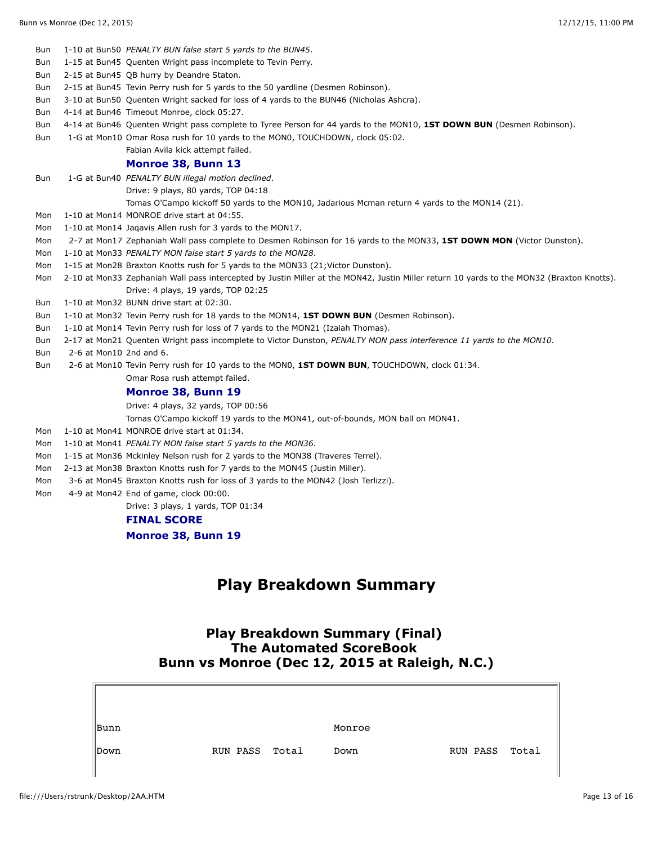| Bun |                         | 1-10 at Bun50 PENALTY BUN false start 5 yards to the BUN45.                                                                               |
|-----|-------------------------|-------------------------------------------------------------------------------------------------------------------------------------------|
| Bun |                         | 1-15 at Bun45 Quenten Wright pass incomplete to Tevin Perry.                                                                              |
| Bun |                         | 2-15 at Bun45 QB hurry by Deandre Staton.                                                                                                 |
| Bun |                         | 2-15 at Bun45 Tevin Perry rush for 5 yards to the 50 yardline (Desmen Robinson).                                                          |
| Bun |                         | 3-10 at Bun50 Quenten Wright sacked for loss of 4 yards to the BUN46 (Nicholas Ashcra).                                                   |
| Bun |                         | 4-14 at Bun46 Timeout Monroe, clock 05:27.                                                                                                |
| Bun |                         | 4-14 at Bun46 Quenten Wright pass complete to Tyree Person for 44 yards to the MON10, 1ST DOWN BUN (Desmen Robinson).                     |
| Bun |                         | 1-G at Mon10 Omar Rosa rush for 10 yards to the MON0, TOUCHDOWN, clock 05:02.                                                             |
|     |                         | Fabian Avila kick attempt failed.                                                                                                         |
|     |                         | Monroe 38, Bunn 13                                                                                                                        |
| Bun |                         | 1-G at Bun40 PENALTY BUN illegal motion declined.                                                                                         |
|     |                         | Drive: 9 plays, 80 yards, TOP 04:18                                                                                                       |
|     |                         | Tomas O'Campo kickoff 50 yards to the MON10, Jadarious Mcman return 4 yards to the MON14 (21).                                            |
| Mon |                         | 1-10 at Mon14 MONROE drive start at 04:55.                                                                                                |
| Mon |                         | 1-10 at Mon14 Jagavis Allen rush for 3 yards to the MON17.                                                                                |
| Mon |                         | 2-7 at Mon17 Zephaniah Wall pass complete to Desmen Robinson for 16 yards to the MON33, 1ST DOWN MON (Victor Dunston).                    |
| Mon |                         | 1-10 at Mon33 PENALTY MON false start 5 yards to the MON28.                                                                               |
| Mon |                         | 1-15 at Mon28 Braxton Knotts rush for 5 yards to the MON33 (21; Victor Dunston).                                                          |
| Mon |                         | 2-10 at Mon33 Zephaniah Wall pass intercepted by Justin Miller at the MON42, Justin Miller return 10 yards to the MON32 (Braxton Knotts). |
|     |                         | Drive: 4 plays, 19 yards, TOP 02:25                                                                                                       |
| Bun |                         | 1-10 at Mon32 BUNN drive start at 02:30.                                                                                                  |
| Bun |                         | 1-10 at Mon32 Tevin Perry rush for 18 yards to the MON14, 1ST DOWN BUN (Desmen Robinson).                                                 |
| Bun |                         | 1-10 at Mon14 Tevin Perry rush for loss of 7 yards to the MON21 (Izaiah Thomas).                                                          |
| Bun |                         | 2-17 at Mon21 Quenten Wright pass incomplete to Victor Dunston, PENALTY MON pass interference 11 yards to the MON10.                      |
| Bun | 2-6 at Mon10 2nd and 6. |                                                                                                                                           |
| Bun |                         | 2-6 at Mon10 Tevin Perry rush for 10 yards to the MON0, 1ST DOWN BUN, TOUCHDOWN, clock 01:34.                                             |
|     |                         | Omar Rosa rush attempt failed.                                                                                                            |
|     |                         | Monroe 38, Bunn 19                                                                                                                        |
|     |                         | Drive: 4 plays, 32 yards, TOP 00:56                                                                                                       |
|     |                         | Tomas O'Campo kickoff 19 yards to the MON41, out-of-bounds, MON ball on MON41.                                                            |
| Mon |                         | 1-10 at Mon41 MONROE drive start at 01:34.                                                                                                |
| Mon |                         | 1-10 at Mon41 PENALTY MON false start 5 yards to the MON36.                                                                               |
| Mon |                         | 1-15 at Mon36 Mckinley Nelson rush for 2 yards to the MON38 (Traveres Terrel).                                                            |
| Mon |                         | 2-13 at Mon38 Braxton Knotts rush for 7 yards to the MON45 (Justin Miller).                                                               |
| Mon |                         | 3-6 at Mon45 Braxton Knotts rush for loss of 3 yards to the MON42 (Josh Terlizzi).                                                        |
| Mon |                         | 4-9 at Mon42 End of game, clock 00:00.                                                                                                    |
|     |                         |                                                                                                                                           |

Drive: 3 plays, 1 yards, TOP 01:34

#### **FINAL SCORE**

**Monroe 38, Bunn 19**

# **Play Breakdown Summary**

## **Play Breakdown Summary (Final) The Automated ScoreBook Bunn vs Monroe (Dec 12, 2015 at Raleigh, N.C.)**

| Bunn |                | Monroe |                |  |
|------|----------------|--------|----------------|--|
| Down | RUN PASS Total | Down   | RUN PASS Total |  |
|      |                |        |                |  |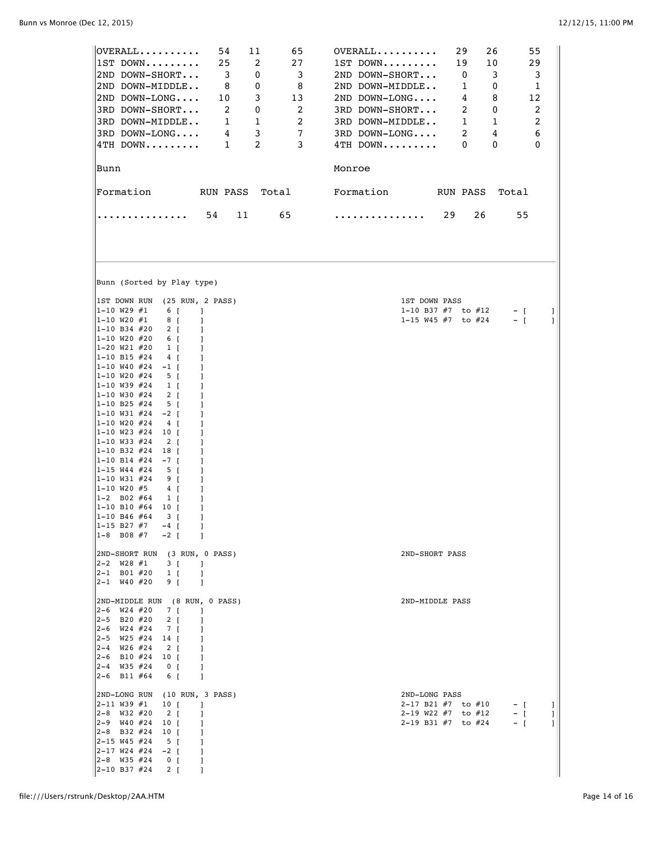| $[OVERALL \ldots$<br>54<br>11<br>65<br>$ 1ST$ DOWN<br>25<br>2<br>27<br>$\overline{\mathbf{3}}$<br>2ND DOWN-SHORT<br>3<br>0<br>2ND DOWN-MIDDLE<br>- 8<br>0<br>8<br>$ 2ND$ DOWN-LONG<br>3<br>10<br>13<br>3RD DOWN-SHORT<br>2<br>2<br>0<br>3RD DOWN-MIDDLE<br>2<br>$\overline{\phantom{a}}$<br>1<br>3<br>$\overline{7}$<br>$ 3RD$ DOWN-LONG<br>$\overline{\mathbf{4}}$<br>$\overline{1}$<br>2<br>3<br>$\ket{4\text{TH}}$ down<br> Bunn                                                                                                                                                                                                                                                                                                                                                                                                                                                                                                                                                                                                                     | $OVERALL$<br>29<br>26<br>55<br>1ST DOWN<br>19<br>10<br>29<br>3<br>2ND DOWN-SHORT<br>$\overline{\phantom{0}}$<br>$\overline{\mathbf{3}}$<br>2ND DOWN-MIDDLE<br>- 1<br>$\mathbf 0$<br>1<br>2ND DOWN-LONG<br>4<br>8<br>12<br>3RD DOWN-SHORT<br>2<br>2<br>0<br>3RD DOWN-MIDDLE<br>$\overline{\phantom{0}}$ 1<br>1<br>2<br>3RD DOWN-LONG<br>-2<br>4<br>6<br>4TH DOWN<br>$\Omega$<br>0<br>0<br>Monroe |
|---------------------------------------------------------------------------------------------------------------------------------------------------------------------------------------------------------------------------------------------------------------------------------------------------------------------------------------------------------------------------------------------------------------------------------------------------------------------------------------------------------------------------------------------------------------------------------------------------------------------------------------------------------------------------------------------------------------------------------------------------------------------------------------------------------------------------------------------------------------------------------------------------------------------------------------------------------------------------------------------------------------------------------------------------------|-------------------------------------------------------------------------------------------------------------------------------------------------------------------------------------------------------------------------------------------------------------------------------------------------------------------------------------------------------------------------------------------------|
| Formation<br>RUN PASS Total                                                                                                                                                                                                                                                                                                                                                                                                                                                                                                                                                                                                                                                                                                                                                                                                                                                                                                                                                                                                                             | Formation RUN PASS<br>Total                                                                                                                                                                                                                                                                                                                                                                     |
| 54<br>65<br>11                                                                                                                                                                                                                                                                                                                                                                                                                                                                                                                                                                                                                                                                                                                                                                                                                                                                                                                                                                                                                                          | 29<br>26<br>55<br>.                                                                                                                                                                                                                                                                                                                                                                             |
| Bunn (Sorted by Play type)                                                                                                                                                                                                                                                                                                                                                                                                                                                                                                                                                                                                                                                                                                                                                                                                                                                                                                                                                                                                                              |                                                                                                                                                                                                                                                                                                                                                                                                 |
| IST DOWN RUN (25 RUN, 2 PASS)<br>$ 1 - 10 W29 #1$<br>$6 \quad$ [<br>$\Box$<br>$ 1 - 10 W20 #1$<br>8 [<br>1                                                                                                                                                                                                                                                                                                                                                                                                                                                                                                                                                                                                                                                                                                                                                                                                                                                                                                                                              | 1ST DOWN PASS<br>1-10 B37 $#7$ to $#12$<br>$-$ [<br>1<br>1-15 W45 $#7$ to $#24$<br>$-$ [<br>1                                                                                                                                                                                                                                                                                                   |
| $1 - 10$ B34 #20<br>2 [<br>-1<br>$ 1-10 W20 #20$<br>6 <sub>I</sub><br>-1<br>$ 1-20 W21 #20$<br>$1 \left[ \right]$<br>1<br>$ 1-10 B15 #24$<br>4 <sub>[</sub><br>1<br>$ 1 - 10 W40 \#24$<br>$-1$ [<br>1<br>$ 1 - 10 W20 #24$<br>5 <sub>1</sub><br>1<br>$ 1 - 10$ W39 #24<br>$1 \left[ \right]$<br>1<br>$ 1 - 10$ W30 #24<br>$2 \mid$<br>1<br>$ 1-10 B25 #24$<br>5 [<br>1<br>$ 1 - 10 W31   24$<br>$-2 \mid$<br>1<br>$ 1-10 W20 #24$<br>$4 \vert$<br>1<br>$ 1 - 10 W23 #24$<br>10 [<br>1<br>$ 1-10 W33 #24$<br>$2 \mid$<br>1<br>$ 1-10 B32 #24$<br>18 [<br>1<br>$1 - 10 B14$ #24<br>$-7$ [<br>1<br>$ 1 - 15 W44 #24$<br>5 <sub>1</sub><br>1<br>$ 1-10 W31 #24$<br>9 [<br>1<br>$ 1 - 10 W20 #5$<br>4 [<br>1<br>$ 1-2 \text{ } B02 \text{ } \#64$<br>$1 \left[ \right]$<br>1<br>$ 1-10 B10 #64$<br>10 [<br>1<br>$ 1-10 B46 #64$<br>3 [<br>1<br>$ 1 - 15 B27 #7$<br>$-4$ [<br>-1<br>$1-8$ B08 #7<br>$-2$ [<br>-1<br>2ND-SHORT RUN (3 RUN, 0 PASS)<br>$ 2-2 \tW28 \t#1$<br>3 [<br>-1<br>$ 2 - 1$ B01 #20<br>$1 \quad$ [<br>-1<br>$ 2 - 1$ W40 #20<br>9 I<br>-1 | 2ND-SHORT PASS                                                                                                                                                                                                                                                                                                                                                                                  |
| 2ND-MIDDLE RUN (8 RUN, 0 PASS)<br>$\begin{vmatrix} 2-6 & \text{W24} & \#20 \end{vmatrix}$<br>7 <sub>1</sub><br>- 1<br>$ 2-5$ B20 #20<br>$2 \mid$<br>-1<br>$\begin{vmatrix} 2-6 & W24 & \#24 \end{vmatrix}$<br>7 [<br>1<br>$ 2-5 \quad W25 \; \#24$<br>14 <b>[</b><br>-1<br>$ 2-4 \quad W26 \#24$<br>$2 \left[ \right]$<br>-1<br>$ 2-6$ B10 $#24$<br>10 T<br>-1<br>$ 2-4 \quad W35 \#24$<br>0 <sub>0</sub><br>1<br>$ 2-6$ B11 #64<br>6 [<br>-1                                                                                                                                                                                                                                                                                                                                                                                                                                                                                                                                                                                                           | 2ND-MIDDLE PASS                                                                                                                                                                                                                                                                                                                                                                                 |
| 2ND-LONG RUN (10 RUN, 3 PASS)<br>$ 2 - 11$ W39 #1<br>10 <sub>1</sub><br>1<br>$ 2-8$ W32 #20<br>$2 \left[ \right]$<br>-1<br>$ 2-9 \quad W40 \quad #24$<br>10 <sub>1</sub><br>1<br>$ 2-8$ B32 #24<br>10 [<br>1<br>$ 2 - 15 W45 \#24$<br>$5 \left[ \right]$<br>1<br>$\begin{bmatrix} 2-17 & W24 & #24 & -2 \end{bmatrix}$<br>1<br>$ 2-8$ W35 #24<br>0 <sub>1</sub><br>-1<br>2-10 B37 #24<br>$2 \lfloor$<br>-1                                                                                                                                                                                                                                                                                                                                                                                                                                                                                                                                                                                                                                              | 2ND-LONG PASS<br>2-17 B21 $#7$ to $#10$<br>$-$ [<br>J.<br>2-19 W22 #7 to #12<br>$-$ [<br>1<br>2-19 B31 $#7$ to $#24$<br>$-$ [<br>1                                                                                                                                                                                                                                                              |